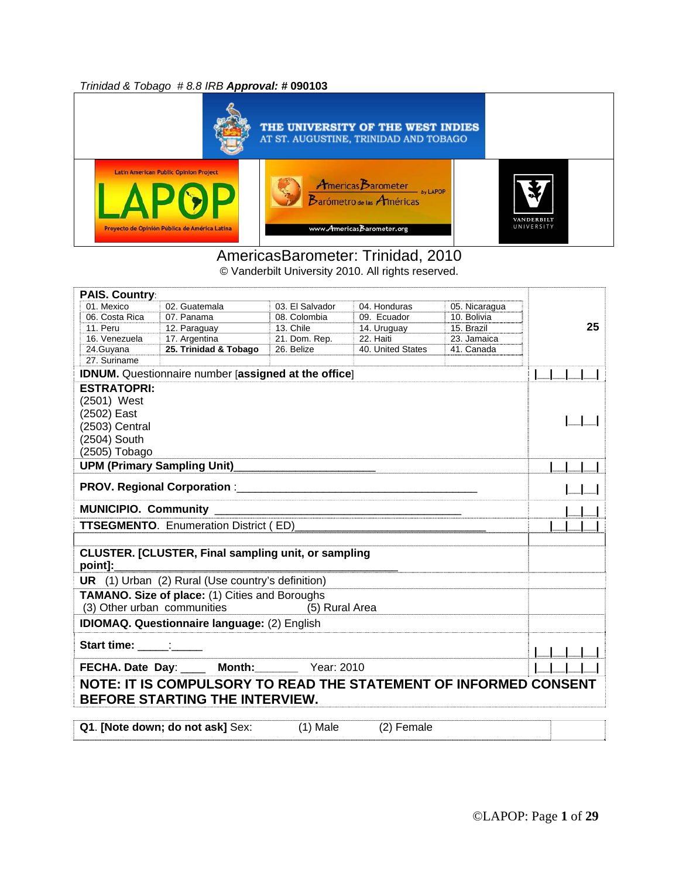*Trinidad & Tobago # 8.8 IRB Approval: #* **090103**



#### AmericasBarometer: Trinidad, 2010 © Vanderbilt University 2010. All rights reserved.

**PAIS. Country**: 01. Mexico 02. Guatemala 03. El Salvador 04. Honduras 05. Nicaragua<br>06. Costa Rica 07. Panama 08. Colombia 09. Ecuador 10. Bolivia 06. Costa Rica 11. Peru 12. Paraguay 13. Chile 14. Uruguay 15. Brazil 16. Venezuela 17. Argentina 21. Dom. Rep. 22. Haiti 23. Jamaica 24.Guyana **25. Trinidad & Tobago** 26. Belize 40. United States 41. Canada 27. Suriname **25 IDNUM.** Questionnaire number [**assigned at the office**] **|\_\_|\_\_|\_\_|\_\_| ESTRATOPRI:** (2501) West (2502) East (2503) Central (2504) South (2505) Tobago **|\_\_|\_\_| UPM (Primary Sampling Unit)**\_\_\_\_\_\_\_\_\_\_\_\_\_\_\_\_\_\_\_\_\_\_\_ **|\_\_|\_\_|\_\_| PROV. Regional Corporation** :\_\_\_\_\_\_\_\_\_\_\_\_\_\_\_\_\_\_\_\_\_\_\_\_\_\_\_\_\_\_\_\_\_\_\_\_\_\_\_ **|\_\_|\_\_| MUNICIPIO. Community** \_\_\_\_\_\_\_\_\_\_\_\_\_\_\_\_\_\_\_\_\_\_\_\_\_\_\_\_\_\_\_\_\_\_\_\_\_\_\_\_ **|\_\_|\_\_| TTSEGMENTO**. Enumeration District ( ED)\_\_\_\_\_\_\_\_\_\_\_\_\_\_\_\_\_\_\_\_\_\_\_\_\_\_\_\_\_\_\_ **|\_\_|\_\_|\_\_| CLUSTER. [CLUSTER, Final sampling unit, or sampling**  point]: **UR** (1) Urban (2) Rural (Use country's definition) **TAMANO. Size of place:** (1) Cities and Boroughs<br>(3) Other urban communities (5) Rural Area (3) Other urban communities **IDIOMAQ. Questionnaire language:** (2) English **Start time:** \_\_\_\_\_:\_\_\_\_\_ **|\_\_|\_\_|\_\_|\_\_| FECHA. Date Day**: \_\_\_\_ **Month:\_\_\_\_\_\_\_** Year: 2010 **|\_\_|\_\_|\_\_|\_\_| NOTE: IT IS COMPULSORY TO READ THE STATEMENT OF INFORMED CONSENT BEFORE STARTING THE INTERVIEW. Q1. [Note down; do not ask]** Sex: (1) Male (2) Female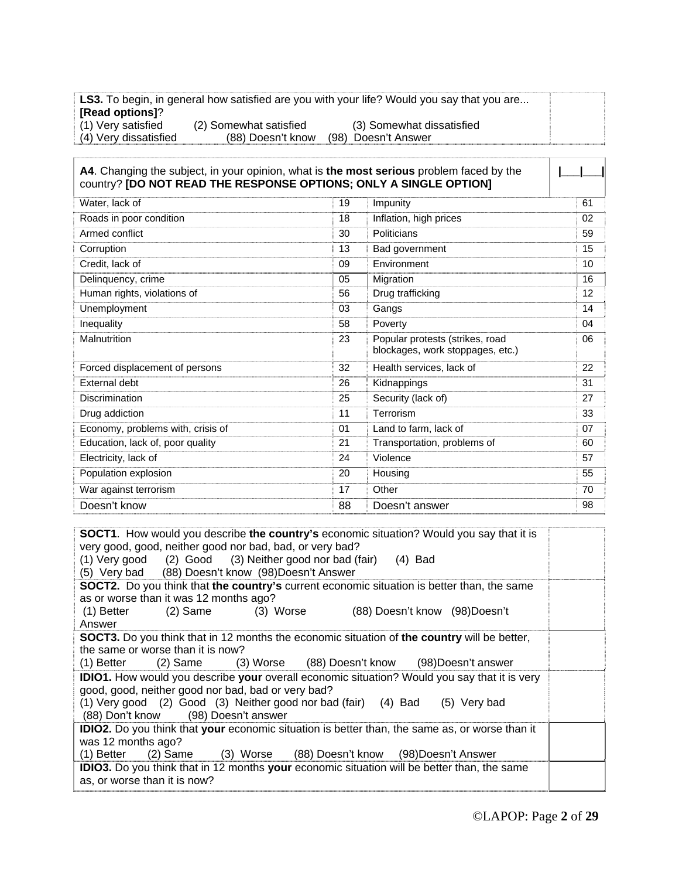**LS3.** To begin, in general how satisfied are you with your life? Would you say that you are... **[Read options]**? (1) Very satisfied (2) Somewhat satisfied (3) Somewhat dissatisfied (4) Very dissatisfied (88) Doesn't know (98) Doesn't Answer

**A4**. Changing the subject, in your opinion, what is **the most serious** problem faced by the country? **[DO NOT READ THE RESPONSE OPTIONS; ONLY A SINGLE OPTION] |\_\_\_|\_\_\_|** Water, lack of 19 and 19 Impunity 19 Impunity 19 and 19 Impunity 19 and 19 Impunity 19 and 19 Impunity 19 and 19 Impunity 19 and 19 and 19 and 19 and 19 and 19 and 19 and 19 and 19 and 19 and 19 and 19 and 19 and 19 and 19 Roads in poor condition 18 Inflation, high prices 02 Armed conflict 59 Politicians 59 Corruption 2001 13 Bad government 2001 15 Credit, lack of 09 Environment 10 Delinquency, crime 16 Migration 16 Migration 16 Migration 16 Migration 16 Migration 16 Migration 16 Migration 16 Migration 16 Migration 16 Migration 16 Migration 16 Migration 16 Migration 16 Migration 16 Migration 16 Migra Human rights, violations of 12 Unemployment 14 Contract 15 Contract 16 Contract 16 Contract 16 Contract 16 Contract 16 Contract 16 Contract 16 Contract 16 Contract 16 Contract 16 Contract 16 Contract 16 Contract 16 Contract 16 Contract 16 Contract 16 Co Inequality 100 and the control of the state of the state of the state of the state of the state of the state of the state of the state of the state of the state of the state of the state of the state of the state of the st Malnutrition 23 Popular protests (strikes, road blockages, work stoppages, etc.) 06 Forced displacement of persons 32 Health services, lack of 22 External debt 31 Discrimination 27 Security (lack of) 27 Security (lack of) Drug addiction **11** Terrorism **11** Terrorism **11** Terrorism **133** Economy, problems with, crisis of 01 Land to farm, lack of 07 07 Education, lack of, poor quality example 21 Transportation, problems of 60 Electricity, lack of 57 Population explosion 20 and 20 Housing 55 War against terrorism **17** Other 70 Doesn't know 88 Doesn't answer 98

**SOCT1**. How would you describe **the country's** economic situation? Would you say that it is very good, good, neither good nor bad, bad, or very bad? (1) Very good (2) Good (3) Neither good nor bad (fair) (4) Bad (5) Very bad (88) Doesn't know (98)Doesn't Answer **SOCT2.** Do you think that **the country's** current economic situation is better than, the same as or worse than it was 12 months ago? (1) Better (2) Same (3) Worse (88) Doesn't know (98)Doesn't Answer **SOCT3.** Do you think that in 12 months the economic situation of **the country** will be better, the same or worse than it is now?<br>(1) Better (2) Same (3) Worse (1) Better (2) Same (3) Worse (88) Doesn't know (98)Doesn't answer **IDIO1.** How would you describe **your** overall economic situation? Would you say that it is very good, good, neither good nor bad, bad or very bad? (1) Very good (2) Good (3) Neither good nor bad (fair) (4) Bad (5) Very bad (88) Don't know (98) Doesn't answer **IDIO2.** Do you think that **your** economic situation is better than, the same as, or worse than it was 12 months ago? (1) Better (2) Same (3) Worse (88) Doesn't know (98)Doesn't Answer **IDIO3.** Do you think that in 12 months **your** economic situation will be better than, the same as, or worse than it is now?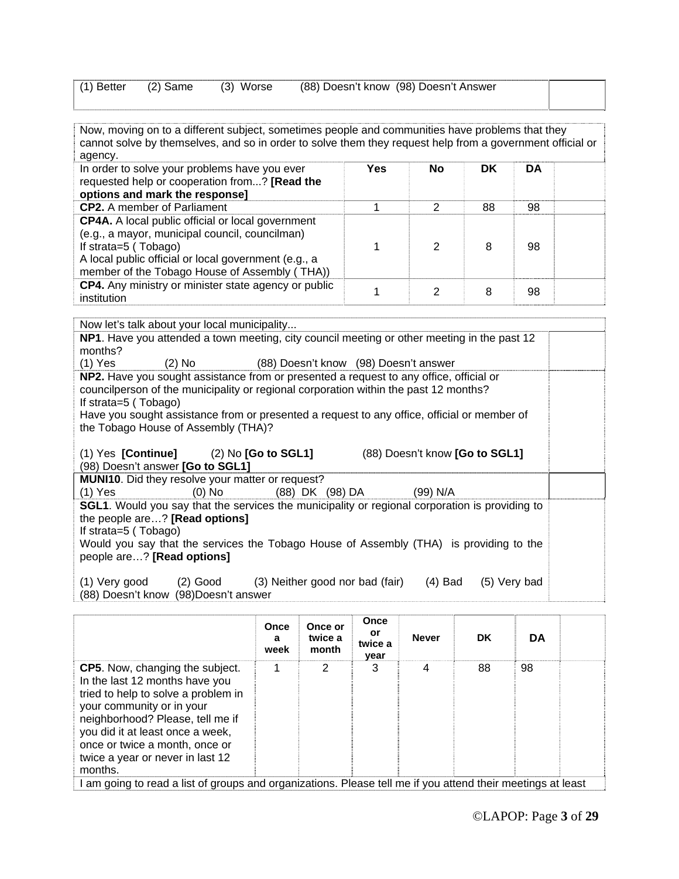| $(1)$ Better $(2)$ Same<br>: (3) Worse | (88) Doesn't know (98) Doesn't Answer |  |
|----------------------------------------|---------------------------------------|--|
|----------------------------------------|---------------------------------------|--|

Now, moving on to a different subject, sometimes people and communities have problems that they cannot solve by themselves, and so in order to solve them they request help from a government official or agency.

| In order to solve your problems have you ever<br>requested help or cooperation from? [Read the<br>options and mark the response]                                                                                                            | Yes | <b>No</b> | DK | DA |  |
|---------------------------------------------------------------------------------------------------------------------------------------------------------------------------------------------------------------------------------------------|-----|-----------|----|----|--|
| <b>CP2.</b> A member of Parliament                                                                                                                                                                                                          |     |           | 88 | 98 |  |
| <b>CP4A.</b> A local public official or local government<br>(e.g., a mayor, municipal council, councilman)<br>If strata=5 (Tobago)<br>A local public official or local government (e.g., a<br>member of the Tobago House of Assembly (THA)) |     |           | 8  | 98 |  |
| CP4. Any ministry or minister state agency or public<br>institution                                                                                                                                                                         |     |           | 8  | 98 |  |

Now let's talk about your local municipality.

| NP1. Have you attended a town meeting, city council meeting or other meeting in the past 12    |  |
|------------------------------------------------------------------------------------------------|--|
| months?                                                                                        |  |
| $(1)$ Yes<br>$(2)$ No $(2)$<br>(88) Doesn't know (98) Doesn't answer                           |  |
| NP2. Have you sought assistance from or presented a request to any office, official or         |  |
| councilperson of the municipality or regional corporation within the past 12 months?           |  |
| If strata= $5$ (Tobago)                                                                        |  |
| Have you sought assistance from or presented a request to any office, official or member of    |  |
| the Tobago House of Assembly (THA)?                                                            |  |
|                                                                                                |  |
| (1) Yes [Continue] (2) No [Go to SGL1]<br>(88) Doesn't know [Go to SGL1]                       |  |
| (98) Doesn't answer [Go to SGL1]                                                               |  |
| MUNI10. Did they resolve your matter or request?                                               |  |
| (1) Yes (0) No (88) DK (98) DA<br>(99) N/A                                                     |  |
| SGL1. Would you say that the services the municipality or regional corporation is providing to |  |
| the people are? [Read options]                                                                 |  |
| If strata=5 (Tobago)                                                                           |  |
| Would you say that the services the Tobago House of Assembly (THA) is providing to the         |  |
| people are? [Read options]                                                                     |  |
|                                                                                                |  |
| (1) Very good (2) Good (3) Neither good nor bad (fair)<br>$(4)$ Bad<br>(5) Very bad            |  |
| (88) Doesn't know (98) Doesn't answer                                                          |  |

|                                                                                                                                                                                                                                                                                                       | Once<br>a<br>week | Once or<br>twice a<br>month | Once<br>or<br>twice a<br>year | <b>Never</b> | <b>DK</b> | <b>DA</b> |  |
|-------------------------------------------------------------------------------------------------------------------------------------------------------------------------------------------------------------------------------------------------------------------------------------------------------|-------------------|-----------------------------|-------------------------------|--------------|-----------|-----------|--|
| <b>CP5.</b> Now, changing the subject.<br>In the last 12 months have you<br>tried to help to solve a problem in<br>your community or in your<br>neighborhood? Please, tell me if<br>you did it at least once a week,<br>once or twice a month, once or<br>twice a year or never in last 12<br>months. |                   | 2                           | 3                             | 4            | 88        | 98        |  |
| am going to read a list of groups and organizations. Please tell me if you attend their meetings at least                                                                                                                                                                                             |                   |                             |                               |              |           |           |  |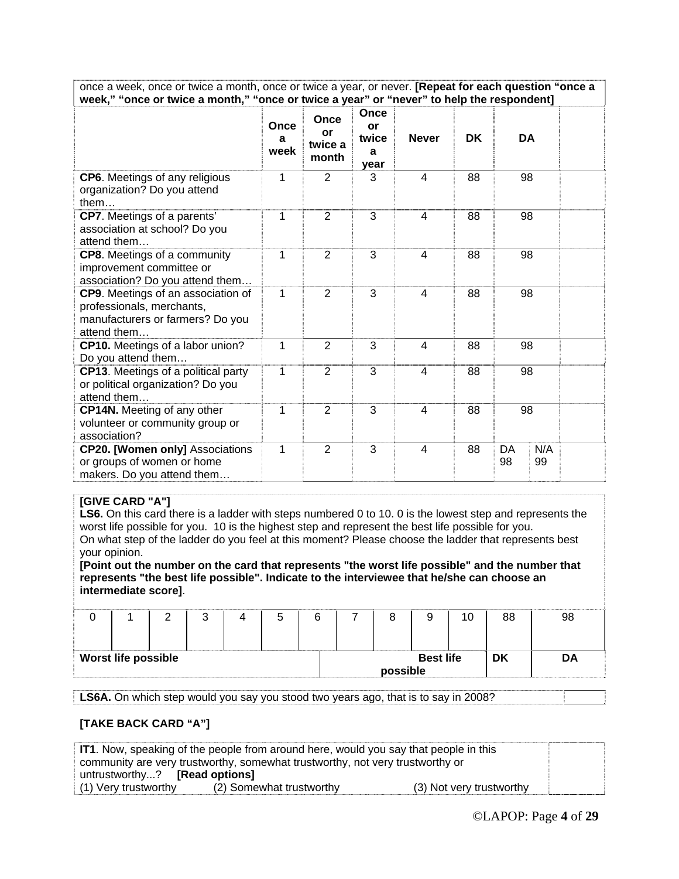once a week, once or twice a month, once or twice a year, or never. **[Repeat for each question "once a week," "once or twice a month," "once or twice a year" or "never" to help the respondent]**

|                                                                                                                    | Once<br>a<br>week | Once<br>or<br>twice a<br>month | Once<br>or<br>twice<br>a<br>year | <b>Never</b> | <b>DK</b> | <b>DA</b> |           |  |
|--------------------------------------------------------------------------------------------------------------------|-------------------|--------------------------------|----------------------------------|--------------|-----------|-----------|-----------|--|
| CP6. Meetings of any religious<br>organization? Do you attend<br>them                                              | 1                 | 2                              | 3                                | 4            | 88        | 98        |           |  |
| <b>CP7.</b> Meetings of a parents'<br>association at school? Do you<br>attend them                                 | 1                 | 2                              | 3                                | 4            | 88        | 98        |           |  |
| CP8. Meetings of a community<br>improvement committee or<br>association? Do you attend them                        | 1                 | 2                              | 3                                | 4            | 88        | 98        |           |  |
| CP9. Meetings of an association of<br>professionals, merchants,<br>manufacturers or farmers? Do you<br>attend them | 1                 | 2                              | 3                                | 4            | 88        | 98        |           |  |
| CP10. Meetings of a labor union?<br>Do you attend them                                                             | 1                 | 2                              | 3                                | 4            | 88        | 98        |           |  |
| <b>CP13.</b> Meetings of a political party<br>or political organization? Do you<br>attend them                     | 1                 | 2                              | 3                                | 4            | 88        | 98        |           |  |
| <b>CP14N.</b> Meeting of any other<br>volunteer or community group or<br>association?                              | 1                 | $\overline{2}$                 | 3                                | 4            | 88        | 98        |           |  |
| <b>CP20. [Women only] Associations</b><br>or groups of women or home<br>makers. Do you attend them                 | 1                 | $\overline{2}$                 | 3                                | 4            | 88        | DA<br>98  | N/A<br>99 |  |

#### **[GIVE CARD "A"]**

LS6. On this card there is a ladder with steps numbered 0 to 10. 0 is the lowest step and represents the worst life possible for you. 10 is the highest step and represent the best life possible for you. On what step of the ladder do you feel at this moment? Please choose the ladder that represents best your opinion.

**[Point out the number on the card that represents "the worst life possible" and the number that represents "the best life possible". Indicate to the interviewee that he/she can choose an intermediate score]**.

|                            | ີ | ີ |  |          |                  | 10 | 88 | 98 |
|----------------------------|---|---|--|----------|------------------|----|----|----|
| <b>Worst life possible</b> |   |   |  | possible | <b>Best life</b> |    | DK | DA |

**LS6A.** On which step would you say you stood two years ago, that is to say in 2008?

#### **[TAKE BACK CARD "A"]**

| <b>IT1</b> . Now, speaking of the people from around here, would you say that people in this |                          |                          |  |  |  |  |
|----------------------------------------------------------------------------------------------|--------------------------|--------------------------|--|--|--|--|
| community are very trustworthy, somewhat trustworthy, not very trustworthy or                |                          |                          |  |  |  |  |
| untrustworthy? <b>[Read options]</b>                                                         |                          |                          |  |  |  |  |
| (1) Very trustworthy                                                                         | (2) Somewhat trustworthy | (3) Not very trustworthy |  |  |  |  |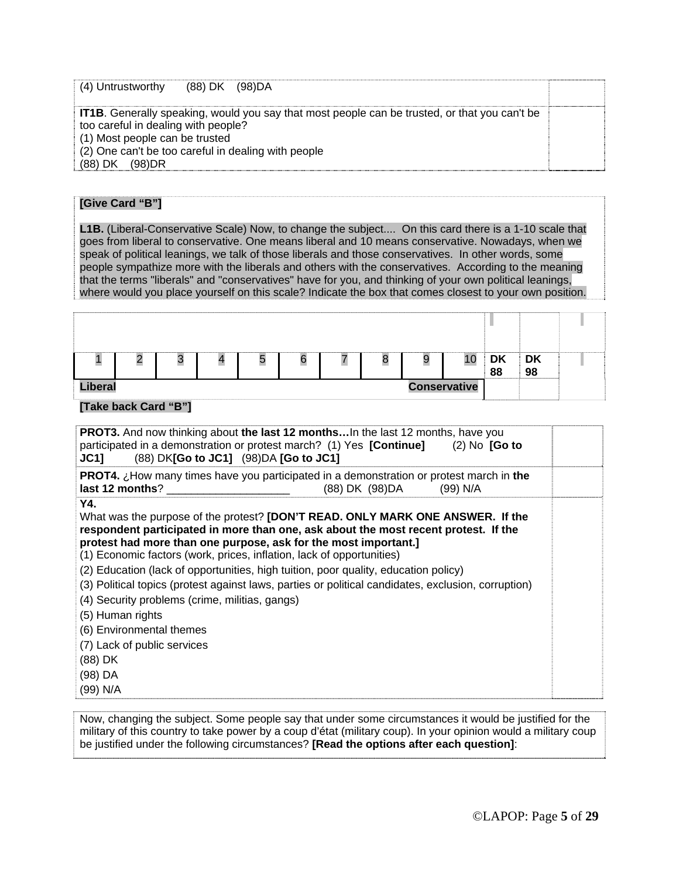| (88) DK (98)DA<br>(4) Untrustworthy                                                                                                             |                                                                                                      |  |
|-------------------------------------------------------------------------------------------------------------------------------------------------|------------------------------------------------------------------------------------------------------|--|
| too careful in dealing with people?<br>(1) Most people can be trusted<br>(2) One can't be too careful in dealing with people<br>(88) DK (98) DR | <b>IT1B.</b> Generally speaking, would you say that most people can be trusted, or that you can't be |  |

#### **[Give Card "B"]**

**L1B.** (Liberal-Conservative Scale) Now, to change the subject.... On this card there is a 1-10 scale that goes from liberal to conservative. One means liberal and 10 means conservative. Nowadays, when we speak of political leanings, we talk of those liberals and those conservatives. In other words, some people sympathize more with the liberals and others with the conservatives. According to the meaning that the terms "liberals" and "conservatives" have for you, and thinking of your own political leanings, where would you place yourself on this scale? Indicate the box that comes closest to your own position.

|                                | u | DK<br>1 C | <b>DK</b> |  |  |  |
|--------------------------------|---|-----------|-----------|--|--|--|
|                                |   | 88        | 98        |  |  |  |
| Liberal<br><b>Conservative</b> |   |           |           |  |  |  |
|                                |   |           |           |  |  |  |

#### **[Take back Card "B"]**

| <b>PROT3.</b> And now thinking about the last 12 months In the last 12 months, have you<br>participated in a demonstration or protest march? (1) Yes $[Continue]$ (2) No $[Go to]$<br>(88) DK[Go to JC1] (98)DA [Go to JC1]<br>JC11                                                                                                                                                                                                                                                                                                                                                                                                                                                              |                          |  |
|--------------------------------------------------------------------------------------------------------------------------------------------------------------------------------------------------------------------------------------------------------------------------------------------------------------------------------------------------------------------------------------------------------------------------------------------------------------------------------------------------------------------------------------------------------------------------------------------------------------------------------------------------------------------------------------------------|--------------------------|--|
| <b>PROT4.</b> $\chi$ How many times have you participated in a demonstration or protest march in the<br>last 12 months?                                                                                                                                                                                                                                                                                                                                                                                                                                                                                                                                                                          | (88) DK (98) DA (99) N/A |  |
| Y4.<br>What was the purpose of the protest? <b>[DON'T READ. ONLY MARK ONE ANSWER.</b> If the<br>respondent participated in more than one, ask about the most recent protest. If the<br>protest had more than one purpose, ask for the most important.]<br>(1) Economic factors (work, prices, inflation, lack of opportunities)<br>(2) Education (lack of opportunities, high tuition, poor quality, education policy)<br>(3) Political topics (protest against laws, parties or political candidates, exclusion, corruption)<br>(4) Security problems (crime, militias, gangs)<br>(5) Human rights<br>(6) Environmental themes<br>(7) Lack of public services<br>(88) DK<br>(98) DA<br>(99) N/A |                          |  |

Now, changing the subject. Some people say that under some circumstances it would be justified for the military of this country to take power by a coup d'état (military coup). In your opinion would a military coup be justified under the following circumstances? **[Read the options after each question]**: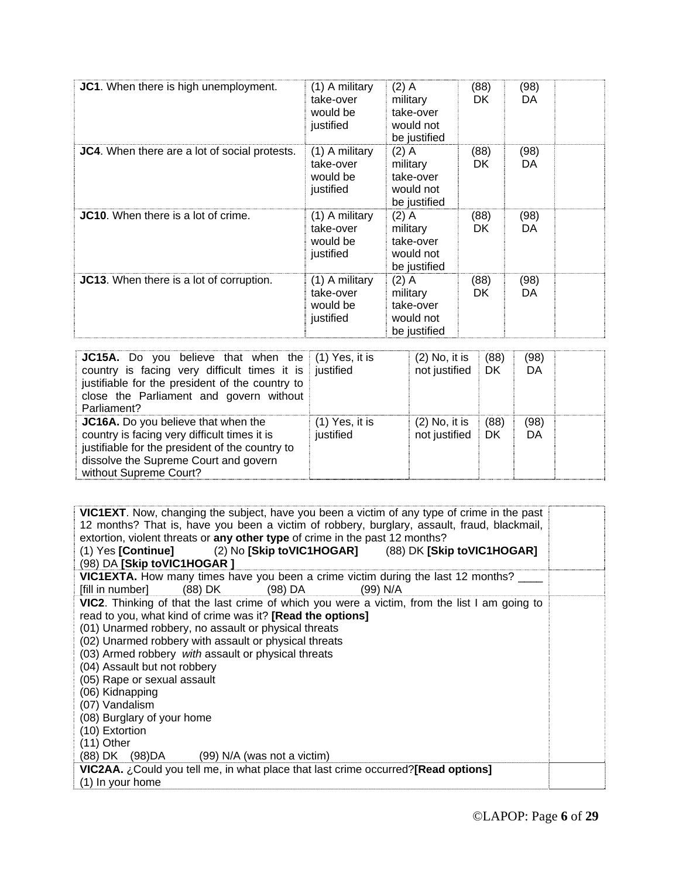| JC1. When there is high unemployment.         | (1) A military<br>take-over<br>would be<br>justified | $(2)$ A<br>military<br>take-over<br>would not<br>be justified | (88)<br>DK. | (98)<br>DA |  |
|-----------------------------------------------|------------------------------------------------------|---------------------------------------------------------------|-------------|------------|--|
| JC4. When there are a lot of social protests. | (1) A military<br>take-over<br>would be<br>justified | $(2)$ A<br>military<br>take-over<br>would not<br>be justified | (88)<br>DK. | (98)<br>DA |  |
| JC10. When there is a lot of crime.           | (1) A military<br>take-over<br>would be<br>justified | $(2)$ A<br>military<br>take-over<br>would not<br>be justified | (88)<br>DK. | (98)<br>DA |  |
| JC13. When there is a lot of corruption.      | (1) A military<br>take-over<br>would be<br>justified | $(2)$ A<br>military<br>take-over<br>would not<br>be justified | (88)<br>DK. | (98)<br>DA |  |

| <b>JC15A.</b> Do you believe that when the $(1)$ Yes, it is<br>country is facing very difficult times it is justified<br>justifiable for the president of the country to<br>close the Parliament and govern without<br>Parliament? |                               | $(2)$ No, it is<br>not justified | (88)<br>DK | (98)<br>DA |  |
|------------------------------------------------------------------------------------------------------------------------------------------------------------------------------------------------------------------------------------|-------------------------------|----------------------------------|------------|------------|--|
| JC16A. Do you believe that when the<br>country is facing very difficult times it is<br>justifiable for the president of the country to<br>dissolve the Supreme Court and govern<br>without Supreme Court?                          | $(1)$ Yes, it is<br>justified | $(2)$ No, it is<br>not justified | (88)<br>DK | (98)<br>DA |  |

**VIC1EXT**. Now, changing the subject, have you been a victim of any type of crime in the past 12 months? That is, have you been a victim of robbery, burglary, assault, fraud, blackmail, extortion, violent threats or **any other type** of crime in the past 12 months?<br>(1) Yes **[Continue]** (2) No **[Skip toVIC1HOGAR]** (88) DK **[Ski** (1) Yes **[Continue]** (2) No **[Skip toVIC1HOGAR]** (88) DK **[Skip toVIC1HOGAR]** (98) DA **[Skip toVIC1HOGAR ] VIC1EXTA.** How many times have you been a crime victim during the last 12 months? [fill in number] (88) DK (98) DA (99) N/A **VIC2**. Thinking of that the last crime of which you were a victim, from the list I am going to read to you, what kind of crime was it? **[Read the options]** (01) Unarmed robbery, no assault or physical threats (02) Unarmed robbery with assault or physical threats (03) Armed robbery *with* assault or physical threats (04) Assault but not robbery (05) Rape or sexual assault (06) Kidnapping (07) Vandalism (08) Burglary of your home (10) Extortion (11) Other (88) DK (98)DA (99) N/A (was not a victim) **VIC2AA.** ¿Could you tell me, in what place that last crime occurred?**[Read options]** (1) In your home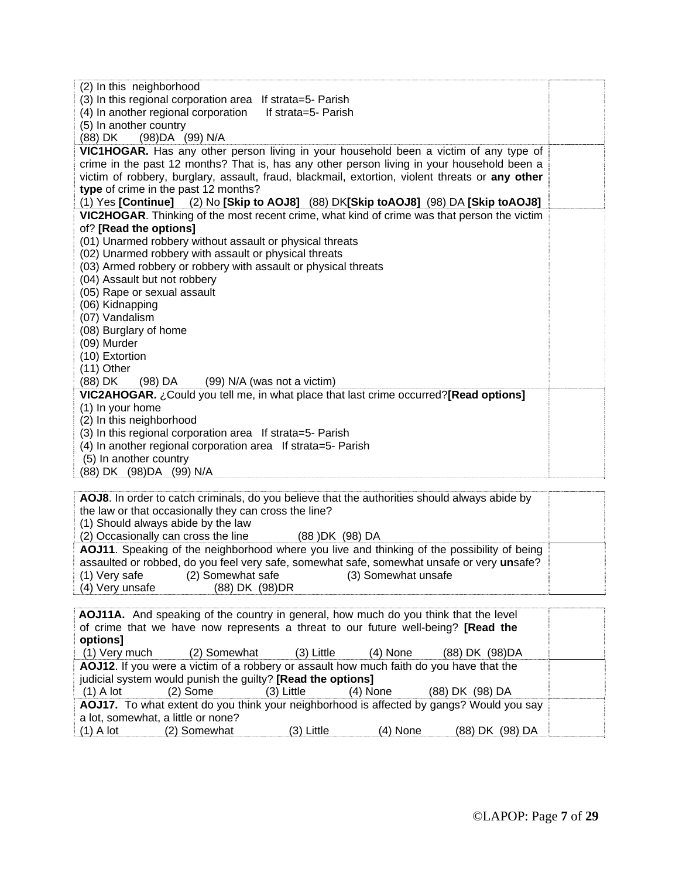| (2) In this neighborhood                                                                        |  |
|-------------------------------------------------------------------------------------------------|--|
| (3) In this regional corporation area If strata=5- Parish                                       |  |
| (4) In another regional corporation<br>If strata=5- Parish                                      |  |
| (5) In another country                                                                          |  |
| (88) DK (98) DA (99) N/A                                                                        |  |
| VIC1HOGAR. Has any other person living in your household been a victim of any type of           |  |
| crime in the past 12 months? That is, has any other person living in your household been a      |  |
| victim of robbery, burglary, assault, fraud, blackmail, extortion, violent threats or any other |  |
| type of crime in the past 12 months?                                                            |  |
| (1) Yes [Continue] (2) No [Skip to AOJ8] (88) DK[Skip toAOJ8] (98) DA [Skip toAOJ8]             |  |
| VIC2HOGAR. Thinking of the most recent crime, what kind of crime was that person the victim     |  |
| of? [Read the options]                                                                          |  |
| (01) Unarmed robbery without assault or physical threats                                        |  |
| (02) Unarmed robbery with assault or physical threats                                           |  |
| (03) Armed robbery or robbery with assault or physical threats                                  |  |
| (04) Assault but not robbery                                                                    |  |
| (05) Rape or sexual assault                                                                     |  |
| (06) Kidnapping                                                                                 |  |
| (07) Vandalism                                                                                  |  |
| (08) Burglary of home                                                                           |  |
| (09) Murder                                                                                     |  |
| (10) Extortion                                                                                  |  |
| $(11)$ Other                                                                                    |  |
| (88) DK<br>(99) N/A (was not a victim)<br>(98) DA                                               |  |
| VIC2AHOGAR. ¿Could you tell me, in what place that last crime occurred?[Read options]           |  |
| (1) In your home                                                                                |  |
| (2) In this neighborhood                                                                        |  |
| (3) In this regional corporation area If strata=5- Parish                                       |  |
| (4) In another regional corporation area If strata=5- Parish                                    |  |
| (5) In another country                                                                          |  |
| (88) DK (98) DA (99) N/A                                                                        |  |
|                                                                                                 |  |
| AOJ8. In order to catch criminals, do you believe that the authorities should always abide by   |  |
| the law or that occasionally they can cross the line?                                           |  |
| (1) Should always abide by the law                                                              |  |

(2) Occasionally can cross the line (88 )DK (98) DA **AOJ11**. Speaking of the neighborhood where you live and thinking of the possibility of being assaulted or robbed, do you feel very safe, somewhat safe, somewhat unsafe or very **un**safe? (1) Very safe (2) Somewhat safe (3) Somewhat unsafe (4) Very unsafe (88) DK (98) DR (88) DK (98) DR

|                                    | <b>AOJ11A.</b> And speaking of the country in general, how much do you think that the level |              |          |                                                                                          |  |
|------------------------------------|---------------------------------------------------------------------------------------------|--------------|----------|------------------------------------------------------------------------------------------|--|
|                                    | of crime that we have now represents a threat to our future well-being? [Read the           |              |          |                                                                                          |  |
| options]                           |                                                                                             |              |          |                                                                                          |  |
|                                    | (1) Very much (2) Somewhat (3) Little (4) None                                              |              |          | (88) DK (98) DA                                                                          |  |
|                                    | AOJ12. If you were a victim of a robbery or assault how much faith do you have that the     |              |          |                                                                                          |  |
|                                    | judicial system would punish the guilty? [Read the options]                                 |              |          |                                                                                          |  |
| $(1)$ A lot                        | (2) Some (3) Little                                                                         |              | (4) None | (88) DK (98) DA                                                                          |  |
|                                    |                                                                                             |              |          | AOJ17. To what extent do you think your neighborhood is affected by gangs? Would you say |  |
| a lot, somewhat, a little or none? |                                                                                             |              |          |                                                                                          |  |
| $(1)$ A lot                        | (2) Somewhat                                                                                | $(3)$ Little | (4) None | (88) DK<br>(98) DA                                                                       |  |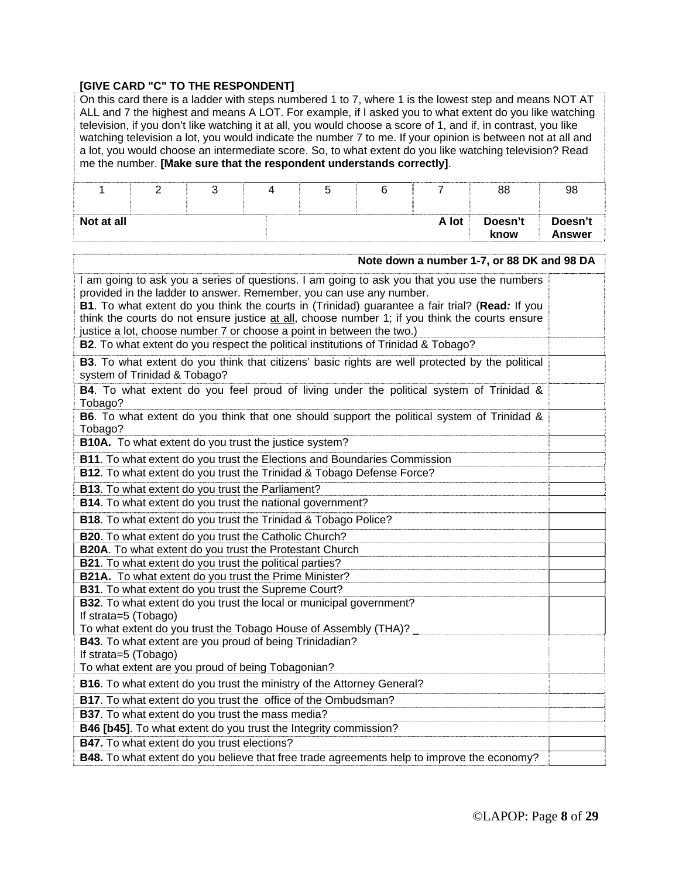## **[GIVE CARD "C" TO THE RESPONDENT]**

|                                                                                                                         | On this card there is a ladder with steps numbered 1 to 7, where 1 is the lowest step and means NOT AT<br>ALL and 7 the highest and means A LOT. For example, if I asked you to what extent do you like watching<br>television, if you don't like watching it at all, you would choose a score of 1, and if, in contrast, you like<br>watching television a lot, you would indicate the number 7 to me. If your opinion is between not at all and<br>a lot, you would choose an intermediate score. So, to what extent do you like watching television? Read<br>me the number. [Make sure that the respondent understands correctly]. |   |   |   |   |                |                                                                                                                                                                                                                                                                                                 |                          |
|-------------------------------------------------------------------------------------------------------------------------|---------------------------------------------------------------------------------------------------------------------------------------------------------------------------------------------------------------------------------------------------------------------------------------------------------------------------------------------------------------------------------------------------------------------------------------------------------------------------------------------------------------------------------------------------------------------------------------------------------------------------------------|---|---|---|---|----------------|-------------------------------------------------------------------------------------------------------------------------------------------------------------------------------------------------------------------------------------------------------------------------------------------------|--------------------------|
| 1                                                                                                                       | $\overline{2}$                                                                                                                                                                                                                                                                                                                                                                                                                                                                                                                                                                                                                        | 3 | 4 | 5 | 6 | $\overline{7}$ | 88                                                                                                                                                                                                                                                                                              | 98                       |
| Not at all                                                                                                              |                                                                                                                                                                                                                                                                                                                                                                                                                                                                                                                                                                                                                                       |   |   |   |   | A lot          | Doesn't<br>know                                                                                                                                                                                                                                                                                 | Doesn't<br><b>Answer</b> |
|                                                                                                                         |                                                                                                                                                                                                                                                                                                                                                                                                                                                                                                                                                                                                                                       |   |   |   |   |                | Note down a number 1-7, or 88 DK and 98 DA                                                                                                                                                                                                                                                      |                          |
|                                                                                                                         | provided in the ladder to answer. Remember, you can use any number.<br>justice a lot, choose number 7 or choose a point in between the two.)<br>B2. To what extent do you respect the political institutions of Trinidad & Tobago?                                                                                                                                                                                                                                                                                                                                                                                                    |   |   |   |   |                | I am going to ask you a series of questions. I am going to ask you that you use the numbers<br>B1. To what extent do you think the courts in (Trinidad) guarantee a fair trial? (Read: If you<br>think the courts do not ensure justice at all, choose number 1; if you think the courts ensure |                          |
|                                                                                                                         | system of Trinidad & Tobago?                                                                                                                                                                                                                                                                                                                                                                                                                                                                                                                                                                                                          |   |   |   |   |                | B3. To what extent do you think that citizens' basic rights are well protected by the political                                                                                                                                                                                                 |                          |
| Tobago?                                                                                                                 |                                                                                                                                                                                                                                                                                                                                                                                                                                                                                                                                                                                                                                       |   |   |   |   |                | B4. To what extent do you feel proud of living under the political system of Trinidad &<br>B6. To what extent do you think that one should support the political system of Trinidad &                                                                                                           |                          |
| Tobago?<br><b>B10A.</b> To what extent do you trust the justice system?                                                 |                                                                                                                                                                                                                                                                                                                                                                                                                                                                                                                                                                                                                                       |   |   |   |   |                |                                                                                                                                                                                                                                                                                                 |                          |
| B11. To what extent do you trust the Elections and Boundaries Commission                                                |                                                                                                                                                                                                                                                                                                                                                                                                                                                                                                                                                                                                                                       |   |   |   |   |                |                                                                                                                                                                                                                                                                                                 |                          |
| B12. To what extent do you trust the Trinidad & Tobago Defense Force?                                                   |                                                                                                                                                                                                                                                                                                                                                                                                                                                                                                                                                                                                                                       |   |   |   |   |                |                                                                                                                                                                                                                                                                                                 |                          |
| B13. To what extent do you trust the Parliament?<br>B14. To what extent do you trust the national government?           |                                                                                                                                                                                                                                                                                                                                                                                                                                                                                                                                                                                                                                       |   |   |   |   |                |                                                                                                                                                                                                                                                                                                 |                          |
|                                                                                                                         | <b>B18.</b> To what extent do you trust the Trinidad & Tobago Police?                                                                                                                                                                                                                                                                                                                                                                                                                                                                                                                                                                 |   |   |   |   |                |                                                                                                                                                                                                                                                                                                 |                          |
|                                                                                                                         |                                                                                                                                                                                                                                                                                                                                                                                                                                                                                                                                                                                                                                       |   |   |   |   |                |                                                                                                                                                                                                                                                                                                 |                          |
| <b>B20.</b> To what extent do you trust the Catholic Church?<br>B20A. To what extent do you trust the Protestant Church |                                                                                                                                                                                                                                                                                                                                                                                                                                                                                                                                                                                                                                       |   |   |   |   |                |                                                                                                                                                                                                                                                                                                 |                          |
| B21. To what extent do you trust the political parties?                                                                 |                                                                                                                                                                                                                                                                                                                                                                                                                                                                                                                                                                                                                                       |   |   |   |   |                |                                                                                                                                                                                                                                                                                                 |                          |
|                                                                                                                         | B21A. To what extent do you trust the Prime Minister?                                                                                                                                                                                                                                                                                                                                                                                                                                                                                                                                                                                 |   |   |   |   |                |                                                                                                                                                                                                                                                                                                 |                          |
|                                                                                                                         | B31. To what extent do you trust the Supreme Court?<br>B32. To what extent do you trust the local or municipal government?                                                                                                                                                                                                                                                                                                                                                                                                                                                                                                            |   |   |   |   |                |                                                                                                                                                                                                                                                                                                 |                          |
| If strata=5 (Tobago)                                                                                                    |                                                                                                                                                                                                                                                                                                                                                                                                                                                                                                                                                                                                                                       |   |   |   |   |                |                                                                                                                                                                                                                                                                                                 |                          |
|                                                                                                                         | To what extent do you trust the Tobago House of Assembly (THA)?                                                                                                                                                                                                                                                                                                                                                                                                                                                                                                                                                                       |   |   |   |   |                |                                                                                                                                                                                                                                                                                                 |                          |
|                                                                                                                         | <b>B43</b> . To what extent are you proud of being Trinidadian?                                                                                                                                                                                                                                                                                                                                                                                                                                                                                                                                                                       |   |   |   |   |                |                                                                                                                                                                                                                                                                                                 |                          |
| If strata=5 (Tobago)                                                                                                    | To what extent are you proud of being Tobagonian?                                                                                                                                                                                                                                                                                                                                                                                                                                                                                                                                                                                     |   |   |   |   |                |                                                                                                                                                                                                                                                                                                 |                          |
|                                                                                                                         | B16. To what extent do you trust the ministry of the Attorney General?                                                                                                                                                                                                                                                                                                                                                                                                                                                                                                                                                                |   |   |   |   |                |                                                                                                                                                                                                                                                                                                 |                          |
|                                                                                                                         | B17. To what extent do you trust the office of the Ombudsman?                                                                                                                                                                                                                                                                                                                                                                                                                                                                                                                                                                         |   |   |   |   |                |                                                                                                                                                                                                                                                                                                 |                          |
|                                                                                                                         | B37. To what extent do you trust the mass media?                                                                                                                                                                                                                                                                                                                                                                                                                                                                                                                                                                                      |   |   |   |   |                |                                                                                                                                                                                                                                                                                                 |                          |
|                                                                                                                         | B46 [b45]. To what extent do you trust the Integrity commission?                                                                                                                                                                                                                                                                                                                                                                                                                                                                                                                                                                      |   |   |   |   |                |                                                                                                                                                                                                                                                                                                 |                          |
|                                                                                                                         | B47. To what extent do you trust elections?                                                                                                                                                                                                                                                                                                                                                                                                                                                                                                                                                                                           |   |   |   |   |                |                                                                                                                                                                                                                                                                                                 |                          |
|                                                                                                                         |                                                                                                                                                                                                                                                                                                                                                                                                                                                                                                                                                                                                                                       |   |   |   |   |                | B48. To what extent do you believe that free trade agreements help to improve the economy?                                                                                                                                                                                                      |                          |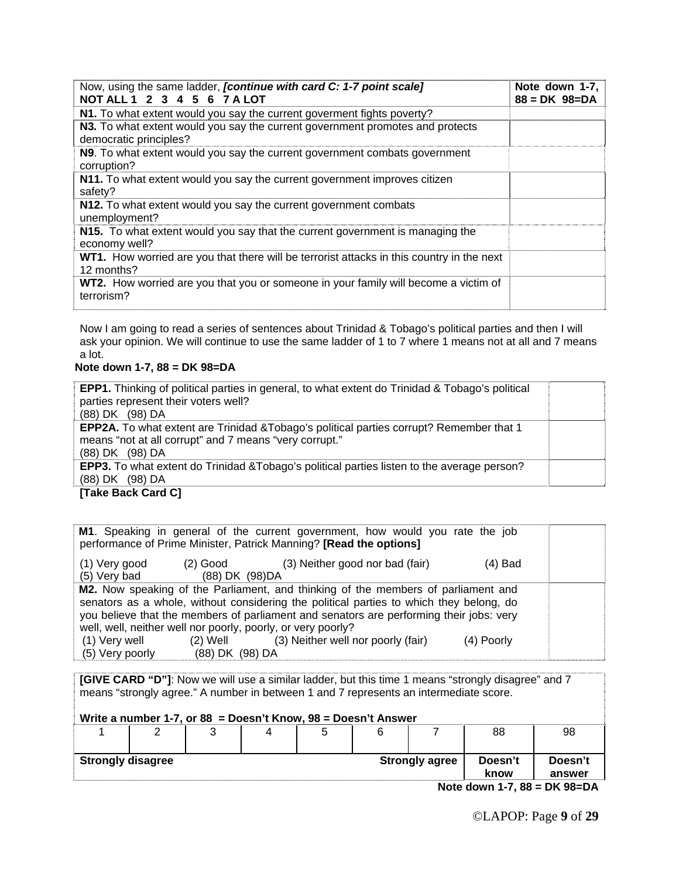| Now, using the same ladder, <i>[continue with card C: 1-7 point scale]</i><br>NOT ALL 1 2 3 4 5 6 7 A LOT | Note down 1-7,<br>$88 = DK 98 = DA$ |
|-----------------------------------------------------------------------------------------------------------|-------------------------------------|
| N1. To what extent would you say the current goverment fights poverty?                                    |                                     |
| N3. To what extent would you say the current government promotes and protects<br>democratic principles?   |                                     |
| N9. To what extent would you say the current government combats government<br>corruption?                 |                                     |
| N11. To what extent would you say the current government improves citizen<br>safety?                      |                                     |
| N12. To what extent would you say the current government combats<br>unemployment?                         |                                     |
| N15. To what extent would you say that the current government is managing the<br>economy well?            |                                     |
| WT1. How worried are you that there will be terrorist attacks in this country in the next<br>12 months?   |                                     |
| WT2. How worried are you that you or someone in your family will become a victim of<br>terrorism?         |                                     |

Now I am going to read a series of sentences about Trinidad & Tobago's political parties and then I will ask your opinion. We will continue to use the same ladder of 1 to 7 where 1 means not at all and 7 means a lot.

#### **Note down 1-7, 88 = DK 98=DA**

| <b>EPP1.</b> Thinking of political parties in general, to what extent do Trinidad & Tobago's political<br>parties represent their voters well? |  |
|------------------------------------------------------------------------------------------------------------------------------------------------|--|
| (88) DK (98) DA                                                                                                                                |  |
| <b>EPP2A.</b> To what extent are Trinidad & Tobago's political parties corrupt? Remember that 1                                                |  |
| means "not at all corrupt" and 7 means "very corrupt."                                                                                         |  |
| (88) DK (98) DA                                                                                                                                |  |
| <b>EPP3.</b> To what extent do Trinidad & Tobago's political parties listen to the average person?                                             |  |
| (88) DK (98) DA                                                                                                                                |  |
| <b>ITALA BAAL AAAJ AT</b>                                                                                                                      |  |

#### **[Take Back Card C]**

|                                  |                             | M1. Speaking in general of the current government, how would you rate the job<br>performance of Prime Minister, Patrick Manning? [Read the options]                                                                                                                                                                                     |            |  |
|----------------------------------|-----------------------------|-----------------------------------------------------------------------------------------------------------------------------------------------------------------------------------------------------------------------------------------------------------------------------------------------------------------------------------------|------------|--|
| (1) Very good<br>(5) Very bad    | (2) Good<br>(88) DK (98) DA | (3) Neither good nor bad (fair)                                                                                                                                                                                                                                                                                                         | (4) Bad    |  |
|                                  |                             | M2. Now speaking of the Parliament, and thinking of the members of parliament and<br>senators as a whole, without considering the political parties to which they belong, do<br>you believe that the members of parliament and senators are performing their jobs: very<br>well, well, neither well nor poorly, poorly, or very poorly? |            |  |
| (1) Very well<br>(5) Very poorly | (2) Well<br>(88) DK (98) DA | (3) Neither well nor poorly (fair)                                                                                                                                                                                                                                                                                                      | (4) Poorly |  |

**[GIVE CARD "D"]**: Now we will use a similar ladder, but this time 1 means "strongly disagree" and 7 means "strongly agree." A number in between 1 and 7 represents an intermediate score.

**Write a number 1-7, or 88 = Doesn't Know, 98 = Doesn't Answer** 

|                          |  | ີ |  |  |  |                       | 88              | 98                |
|--------------------------|--|---|--|--|--|-----------------------|-----------------|-------------------|
| <b>Strongly disagree</b> |  |   |  |  |  | <b>Strongly agree</b> | Doesn't<br>know | Doesn't<br>answer |
| $M = 4$                  |  |   |  |  |  |                       |                 |                   |

**Note down 1-7, 88 = DK 98=DA**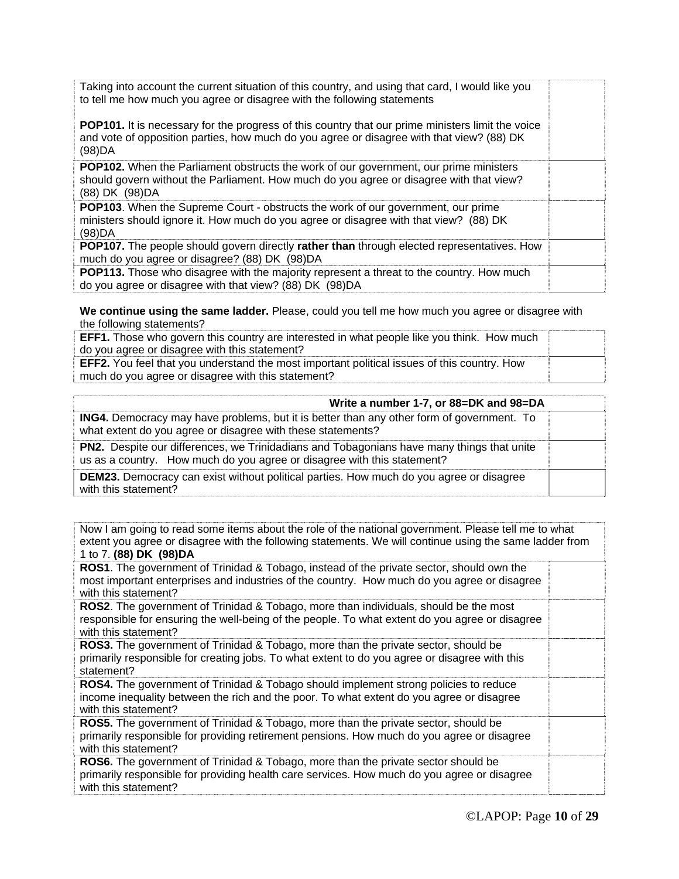| Taking into account the current situation of this country, and using that card, I would like you<br>to tell me how much you agree or disagree with the following statements                                     |  |
|-----------------------------------------------------------------------------------------------------------------------------------------------------------------------------------------------------------------|--|
| <b>POP101.</b> It is necessary for the progress of this country that our prime ministers limit the voice<br>and vote of opposition parties, how much do you agree or disagree with that view? (88) DK<br>(98)DA |  |
| <b>POP102.</b> When the Parliament obstructs the work of our government, our prime ministers<br>should govern without the Parliament. How much do you agree or disagree with that view?<br>(88) DK (98) DA      |  |
| POP103. When the Supreme Court - obstructs the work of our government, our prime<br>ministers should ignore it. How much do you agree or disagree with that view? (88) DK<br>(98)DA                             |  |
| <b>POP107.</b> The people should govern directly rather than through elected representatives. How                                                                                                               |  |
| much do you agree or disagree? (88) DK (98) DA                                                                                                                                                                  |  |
| <b>POP113.</b> Those who disagree with the majority represent a threat to the country. How much<br>do you agree or disagree with that view? (88) DK (98) DA                                                     |  |

**We continue using the same ladder.** Please, could you tell me how much you agree or disagree with the following statements?

| <b>EFF1.</b> Those who govern this country are interested in what people like you think. How much  |  |
|----------------------------------------------------------------------------------------------------|--|
| do you agree or disagree with this statement?                                                      |  |
| <b>EFF2.</b> You feel that you understand the most important political issues of this country. How |  |
| much do you agree or disagree with this statement?                                                 |  |

| Write a number 1-7, or 88=DK and 98=DA                                                                                                                               |  |
|----------------------------------------------------------------------------------------------------------------------------------------------------------------------|--|
| <b>ING4.</b> Democracy may have problems, but it is better than any other form of government. To<br>what extent do you agree or disagree with these statements?      |  |
| PN2. Despite our differences, we Trinidadians and Tobagonians have many things that unite<br>us as a country. How much do you agree or disagree with this statement? |  |
| <b>DEM23.</b> Democracy can exist without political parties. How much do you agree or disagree<br>with this statement?                                               |  |

| Now I am going to read some items about the role of the national government. Please tell me to what<br>extent you agree or disagree with the following statements. We will continue using the same ladder from<br>1 to 7. (88) DK (98) DA |  |
|-------------------------------------------------------------------------------------------------------------------------------------------------------------------------------------------------------------------------------------------|--|
| <b>ROS1</b> . The government of Trinidad & Tobago, instead of the private sector, should own the<br>most important enterprises and industries of the country. How much do you agree or disagree<br>with this statement?                   |  |
| <b>ROS2</b> . The government of Trinidad & Tobago, more than individuals, should be the most<br>responsible for ensuring the well-being of the people. To what extent do you agree or disagree<br>with this statement?                    |  |
| <b>ROS3.</b> The government of Trinidad & Tobago, more than the private sector, should be<br>primarily responsible for creating jobs. To what extent to do you agree or disagree with this<br>statement?                                  |  |
| <b>ROS4.</b> The government of Trinidad & Tobago should implement strong policies to reduce<br>income inequality between the rich and the poor. To what extent do you agree or disagree<br>with this statement?                           |  |
| ROS5. The government of Trinidad & Tobago, more than the private sector, should be<br>primarily responsible for providing retirement pensions. How much do you agree or disagree<br>with this statement?                                  |  |
| <b>ROS6.</b> The government of Trinidad & Tobago, more than the private sector should be<br>primarily responsible for providing health care services. How much do you agree or disagree<br>with this statement?                           |  |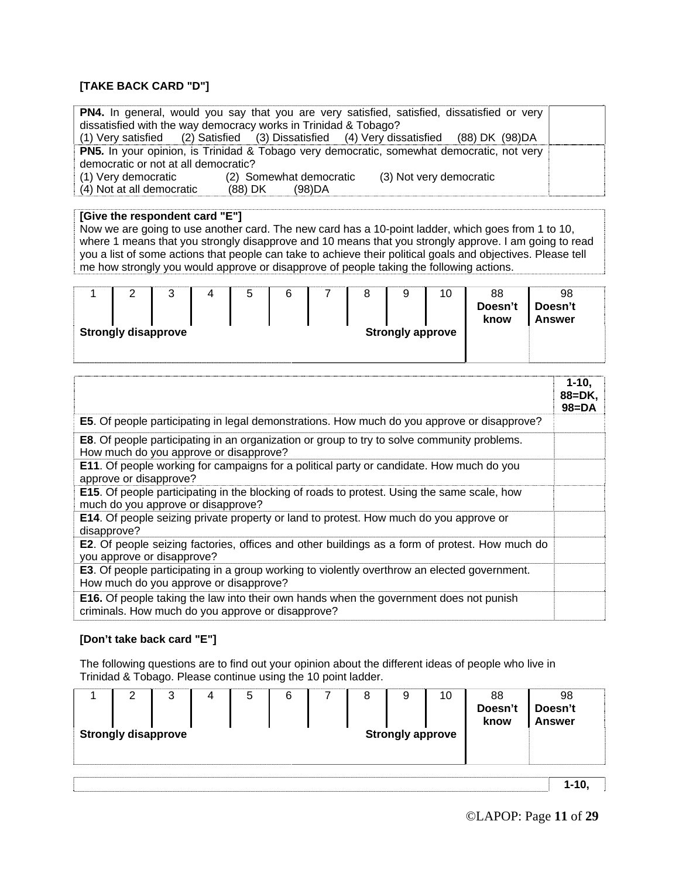#### **[TAKE BACK CARD "D"]**

|                                                                                                  |                         | <b>PN4.</b> In general, would you say that you are very satisfied, satisfied, dissatisfied or very |  |  |  |
|--------------------------------------------------------------------------------------------------|-------------------------|----------------------------------------------------------------------------------------------------|--|--|--|
| dissatisfied with the way democracy works in Trinidad & Tobago?                                  |                         |                                                                                                    |  |  |  |
|                                                                                                  |                         | (1) Very satisfied (2) Satisfied (3) Dissatisfied (4) Very dissatisfied (88) DK (98) DA            |  |  |  |
| <b>PN5.</b> In your opinion, is Trinidad & Tobago very democratic, somewhat democratic, not very |                         |                                                                                                    |  |  |  |
| democratic or not at all democratic?                                                             |                         |                                                                                                    |  |  |  |
| (1) Very democratic                                                                              | (2) Somewhat democratic | (3) Not very democratic                                                                            |  |  |  |
| (4) Not at all democratic                                                                        | (88) DK (98) DA         |                                                                                                    |  |  |  |

#### **[Give the respondent card "E"]**

Now we are going to use another card. The new card has a 10-point ladder, which goes from 1 to 10, where 1 means that you strongly disapprove and 10 means that you strongly approve. I am going to read you a list of some actions that people can take to achieve their political goals and objectives. Please tell me how strongly you would approve or disapprove of people taking the following actions.

|                                                       | ▃ | ັ |  | ∽<br>ັ |  |  |  | g | 10 | 88              | 98                       |  |
|-------------------------------------------------------|---|---|--|--------|--|--|--|---|----|-----------------|--------------------------|--|
|                                                       |   |   |  |        |  |  |  |   |    | Doesn't<br>know | Doesn't<br><b>Answer</b> |  |
| <b>Strongly disapprove</b><br><b>Strongly approve</b> |   |   |  |        |  |  |  |   |    |                 |                          |  |
|                                                       |   |   |  |        |  |  |  |   |    |                 |                          |  |

|                                                                                                                                                    | $1 - 10.$<br>88=DK,<br>$98 = DA$ |
|----------------------------------------------------------------------------------------------------------------------------------------------------|----------------------------------|
| E5. Of people participating in legal demonstrations. How much do you approve or disapprove?                                                        |                                  |
| <b>E8.</b> Of people participating in an organization or group to try to solve community problems.<br>How much do you approve or disapprove?       |                                  |
| <b>E11.</b> Of people working for campaigns for a political party or candidate. How much do you<br>approve or disapprove?                          |                                  |
| <b>E15.</b> Of people participating in the blocking of roads to protest. Using the same scale, how<br>much do you approve or disapprove?           |                                  |
| E14. Of people seizing private property or land to protest. How much do you approve or<br>disapprove?                                              |                                  |
| E2. Of people seizing factories, offices and other buildings as a form of protest. How much do<br>you approve or disapprove?                       |                                  |
| <b>E3.</b> Of people participating in a group working to violently overthrow an elected government.<br>How much do you approve or disapprove?      |                                  |
| <b>E16.</b> Of people taking the law into their own hands when the government does not punish<br>criminals. How much do you approve or disapprove? |                                  |

#### **[Don't take back card "E"]**

The following questions are to find out your opinion about the different ideas of people who live in Trinidad & Tobago. Please continue using the 10 point ladder.

| 2<br><b>Strongly disapprove</b> | 3 | 4 | 5 | 6 | 8 | 9<br><b>Strongly approve</b> | 10 | 88<br>Doesn't<br>know | 98<br>Doesn't<br><b>Answer</b> |
|---------------------------------|---|---|---|---|---|------------------------------|----|-----------------------|--------------------------------|
|                                 |   |   |   |   |   |                              |    |                       |                                |
|                                 |   |   |   |   |   |                              |    |                       | 1-10                           |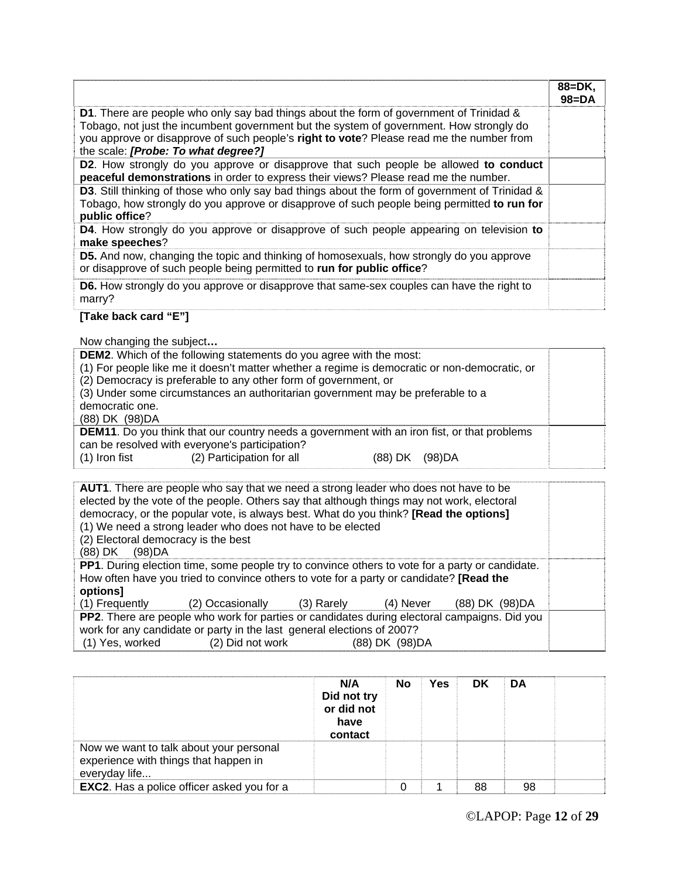|                                                                                                                                                                                                                                                                                                                              | $88 = DK.$<br>$98 = DA$ |
|------------------------------------------------------------------------------------------------------------------------------------------------------------------------------------------------------------------------------------------------------------------------------------------------------------------------------|-------------------------|
| <b>D1.</b> There are people who only say bad things about the form of government of Trinidad &<br>Tobago, not just the incumbent government but the system of government. How strongly do<br>you approve or disapprove of such people's right to vote? Please read me the number from<br>the scale: [Probe: To what degree?] |                         |
| D2. How strongly do you approve or disapprove that such people be allowed to conduct<br>peaceful demonstrations in order to express their views? Please read me the number.                                                                                                                                                  |                         |
| <b>D3.</b> Still thinking of those who only say bad things about the form of government of Trinidad &<br>Tobago, how strongly do you approve or disapprove of such people being permitted to run for<br>public office?                                                                                                       |                         |
| <b>D4.</b> How strongly do you approve or disapprove of such people appearing on television to<br>make speeches?                                                                                                                                                                                                             |                         |
| <b>D5.</b> And now, changing the topic and thinking of homosexuals, how strongly do you approve<br>or disapprove of such people being permitted to run for public office?                                                                                                                                                    |                         |
| <b>D6.</b> How strongly do you approve or disapprove that same-sex couples can have the right to<br>marry?                                                                                                                                                                                                                   |                         |

## **[Take back card "E"]**

Now changing the subject**…** 

| <b>DEM2.</b> Which of the following statements do you agree with the most:<br>(1) For people like me it doesn't matter whether a regime is democratic or non-democratic, or<br>(2) Democracy is preferable to any other form of government, or<br>(3) Under some circumstances an authoritarian government may be preferable to a<br>democratic one.<br>(88) DK (98) DA |  |  |  |  |  |
|-------------------------------------------------------------------------------------------------------------------------------------------------------------------------------------------------------------------------------------------------------------------------------------------------------------------------------------------------------------------------|--|--|--|--|--|
| <b>DEM11.</b> Do you think that our country needs a government with an iron fist, or that problems<br>can be resolved with everyone's participation?<br>(2) Participation for all<br>(1) Iron fist<br>(98)DA<br>(88) DK                                                                                                                                                 |  |  |  |  |  |

| <b>AUT1</b> . There are people who say that we need a strong leader who does not have to be<br>elected by the vote of the people. Others say that although things may not work, electoral<br>democracy, or the popular vote, is always best. What do you think? [Read the options]<br>(1) We need a strong leader who does not have to be elected<br>(2) Electoral democracy is the best<br>(98)DA<br>(88) DK |  |  |  |  |  |  |  |
|---------------------------------------------------------------------------------------------------------------------------------------------------------------------------------------------------------------------------------------------------------------------------------------------------------------------------------------------------------------------------------------------------------------|--|--|--|--|--|--|--|
| <b>PP1</b> . During election time, some people try to convince others to vote for a party or candidate.<br>How often have you tried to convince others to vote for a party or candidate? [Read the<br>options]                                                                                                                                                                                                |  |  |  |  |  |  |  |
| (1) Frequently<br>(2) Occasionally<br>(3) Rarely<br>(88) DK (98) DA<br>(4) Never                                                                                                                                                                                                                                                                                                                              |  |  |  |  |  |  |  |
| PP2. There are people who work for parties or candidates during electoral campaigns. Did you                                                                                                                                                                                                                                                                                                                  |  |  |  |  |  |  |  |
| work for any candidate or party in the last general elections of 2007?<br>(1) Yes, worked (2) Did not work<br>(88) DK (98) DA                                                                                                                                                                                                                                                                                 |  |  |  |  |  |  |  |

|                                                                                                   | N/A<br>Did not try<br>or did not<br>have<br>contact | No | Yes | <b>DK</b> | DA |  |
|---------------------------------------------------------------------------------------------------|-----------------------------------------------------|----|-----|-----------|----|--|
| Now we want to talk about your personal<br>experience with things that happen in<br>everyday life |                                                     |    |     |           |    |  |
| <b>EXC2.</b> Has a police officer asked you for a                                                 |                                                     |    |     | 88        | 98 |  |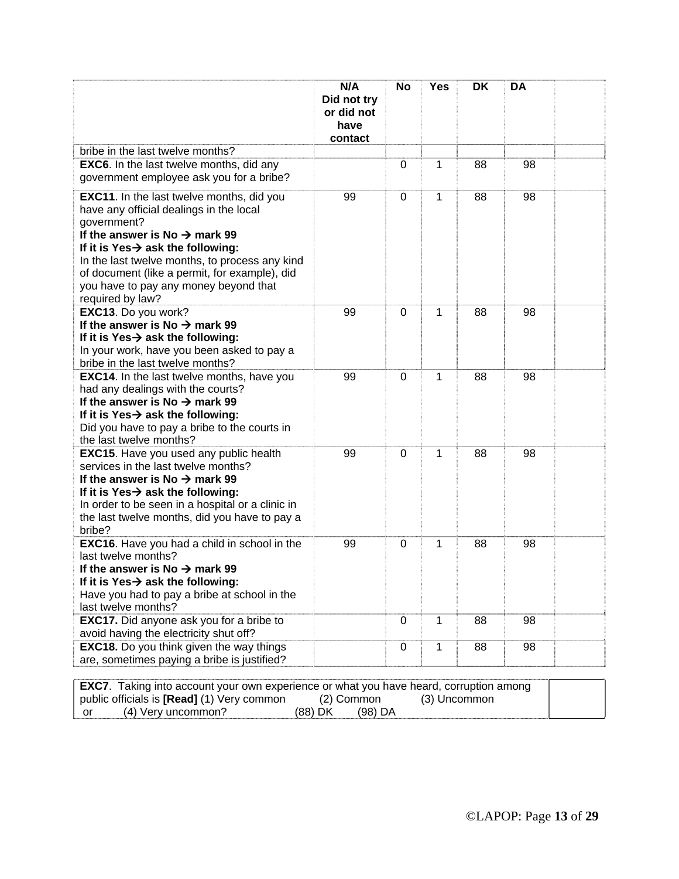|                                                                                                                                                                                                                                                                                                                                                                          | N/A<br>Did not try<br>or did not<br>have<br>contact | No          | <b>Yes</b>   | DK | <b>DA</b> |  |
|--------------------------------------------------------------------------------------------------------------------------------------------------------------------------------------------------------------------------------------------------------------------------------------------------------------------------------------------------------------------------|-----------------------------------------------------|-------------|--------------|----|-----------|--|
| bribe in the last twelve months?                                                                                                                                                                                                                                                                                                                                         |                                                     |             |              |    |           |  |
| <b>EXC6.</b> In the last twelve months, did any<br>government employee ask you for a bribe?                                                                                                                                                                                                                                                                              |                                                     | $\mathbf 0$ | 1            | 88 | 98        |  |
| <b>EXC11.</b> In the last twelve months, did you<br>have any official dealings in the local<br>government?<br>If the answer is No $\rightarrow$ mark 99<br>If it is Yes $\rightarrow$ ask the following:<br>In the last twelve months, to process any kind<br>of document (like a permit, for example), did<br>you have to pay any money beyond that<br>required by law? | 99                                                  | 0           | 1            | 88 | 98        |  |
| EXC13. Do you work?<br>If the answer is No $\rightarrow$ mark 99<br>If it is Yes $\rightarrow$ ask the following:<br>In your work, have you been asked to pay a<br>bribe in the last twelve months?                                                                                                                                                                      | 99                                                  | 0           | $\mathbf{1}$ | 88 | 98        |  |
| <b>EXC14.</b> In the last twelve months, have you<br>had any dealings with the courts?<br>If the answer is No $\rightarrow$ mark 99<br>If it is Yes $\rightarrow$ ask the following:<br>Did you have to pay a bribe to the courts in<br>the last twelve months?                                                                                                          | 99                                                  | $\mathbf 0$ | $\mathbf{1}$ | 88 | 98        |  |
| <b>EXC15.</b> Have you used any public health<br>services in the last twelve months?<br>If the answer is No $\rightarrow$ mark 99<br>If it is Yes $\rightarrow$ ask the following:<br>In order to be seen in a hospital or a clinic in<br>the last twelve months, did you have to pay a<br>bribe?                                                                        | 99                                                  | 0           | 1            | 88 | 98        |  |
| <b>EXC16.</b> Have you had a child in school in the<br>last twelve months?<br>If the answer is No $\rightarrow$ mark 99<br>If it is Yes→ ask the following:<br>Have you had to pay a bribe at school in the<br>last twelve months?                                                                                                                                       | 99                                                  | 0           | 1            | 88 | 98        |  |
| <b>EXC17.</b> Did anyone ask you for a bribe to<br>avoid having the electricity shut off?                                                                                                                                                                                                                                                                                |                                                     | $\mathbf 0$ | $\mathbf 1$  | 88 | 98        |  |
| <b>EXC18.</b> Do you think given the way things<br>are, sometimes paying a bribe is justified?                                                                                                                                                                                                                                                                           |                                                     | 0           | $\mathbf 1$  | 88 | 98        |  |

| <b>EXC7</b> . Taking into account your own experience or what you have heard, corruption among |                    |              |  |  |  |  |  |
|------------------------------------------------------------------------------------------------|--------------------|--------------|--|--|--|--|--|
| public officials is [Read] (1) Very common                                                     | (2) Common         | (3) Uncommon |  |  |  |  |  |
| (4) Very uncommon?<br>∣or                                                                      | (88) DK<br>(98) DA |              |  |  |  |  |  |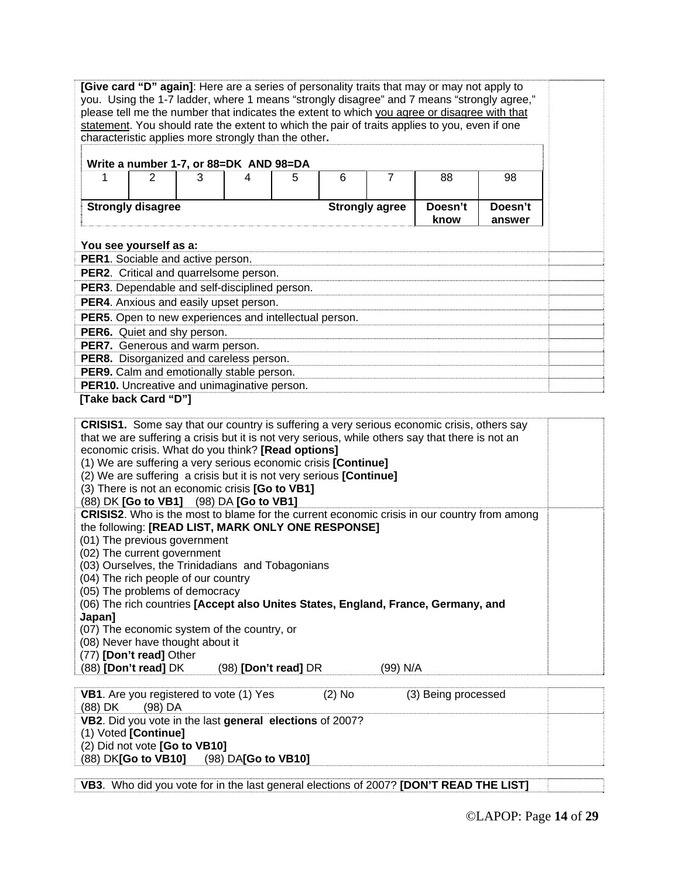| [Give card "D" again]: Here are a series of personality traits that may or may not apply to                                                                                                   |                                                          |   |                      |   |   |                |                                                                                                   |                                                                                                    |  |  |
|-----------------------------------------------------------------------------------------------------------------------------------------------------------------------------------------------|----------------------------------------------------------|---|----------------------|---|---|----------------|---------------------------------------------------------------------------------------------------|----------------------------------------------------------------------------------------------------|--|--|
| you. Using the 1-7 ladder, where 1 means "strongly disagree" and 7 means "strongly agree,"                                                                                                    |                                                          |   |                      |   |   |                |                                                                                                   |                                                                                                    |  |  |
| please tell me the number that indicates the extent to which you agree or disagree with that<br>statement. You should rate the extent to which the pair of traits applies to you, even if one |                                                          |   |                      |   |   |                |                                                                                                   |                                                                                                    |  |  |
|                                                                                                                                                                                               |                                                          |   |                      |   |   |                |                                                                                                   |                                                                                                    |  |  |
| characteristic applies more strongly than the other.                                                                                                                                          |                                                          |   |                      |   |   |                |                                                                                                   |                                                                                                    |  |  |
|                                                                                                                                                                                               |                                                          |   |                      |   |   |                |                                                                                                   |                                                                                                    |  |  |
|                                                                                                                                                                                               | Write a number 1-7, or 88=DK AND 98=DA                   |   |                      |   |   |                |                                                                                                   |                                                                                                    |  |  |
|                                                                                                                                                                                               |                                                          |   |                      |   |   |                |                                                                                                   |                                                                                                    |  |  |
| 1                                                                                                                                                                                             | $\overline{2}$                                           | 3 | 4                    | 5 | 6 | $\overline{7}$ | 88                                                                                                | 98                                                                                                 |  |  |
|                                                                                                                                                                                               |                                                          |   |                      |   |   |                |                                                                                                   |                                                                                                    |  |  |
| <b>Strongly disagree</b><br>Doesn't<br>Doesn't<br><b>Strongly agree</b>                                                                                                                       |                                                          |   |                      |   |   |                |                                                                                                   |                                                                                                    |  |  |
|                                                                                                                                                                                               | know<br>answer                                           |   |                      |   |   |                |                                                                                                   |                                                                                                    |  |  |
|                                                                                                                                                                                               |                                                          |   |                      |   |   |                |                                                                                                   |                                                                                                    |  |  |
|                                                                                                                                                                                               |                                                          |   |                      |   |   |                |                                                                                                   |                                                                                                    |  |  |
| You see yourself as a:                                                                                                                                                                        |                                                          |   |                      |   |   |                |                                                                                                   |                                                                                                    |  |  |
| PER1. Sociable and active person.                                                                                                                                                             |                                                          |   |                      |   |   |                |                                                                                                   |                                                                                                    |  |  |
| PER2. Critical and quarrelsome person.                                                                                                                                                        |                                                          |   |                      |   |   |                |                                                                                                   |                                                                                                    |  |  |
| PER3. Dependable and self-disciplined person.                                                                                                                                                 |                                                          |   |                      |   |   |                |                                                                                                   |                                                                                                    |  |  |
|                                                                                                                                                                                               |                                                          |   |                      |   |   |                |                                                                                                   |                                                                                                    |  |  |
| PER4. Anxious and easily upset person.                                                                                                                                                        |                                                          |   |                      |   |   |                |                                                                                                   |                                                                                                    |  |  |
| PER5. Open to new experiences and intellectual person.                                                                                                                                        |                                                          |   |                      |   |   |                |                                                                                                   |                                                                                                    |  |  |
| PER6. Quiet and shy person.                                                                                                                                                                   |                                                          |   |                      |   |   |                |                                                                                                   |                                                                                                    |  |  |
|                                                                                                                                                                                               |                                                          |   |                      |   |   |                |                                                                                                   |                                                                                                    |  |  |
| PER7. Generous and warm person.                                                                                                                                                               |                                                          |   |                      |   |   |                |                                                                                                   |                                                                                                    |  |  |
| PER8. Disorganized and careless person.                                                                                                                                                       |                                                          |   |                      |   |   |                |                                                                                                   |                                                                                                    |  |  |
| PER9. Calm and emotionally stable person.                                                                                                                                                     |                                                          |   |                      |   |   |                |                                                                                                   |                                                                                                    |  |  |
| PER10. Uncreative and unimaginative person.                                                                                                                                                   |                                                          |   |                      |   |   |                |                                                                                                   |                                                                                                    |  |  |
| [Take back Card "D"]                                                                                                                                                                          |                                                          |   |                      |   |   |                |                                                                                                   |                                                                                                    |  |  |
|                                                                                                                                                                                               |                                                          |   |                      |   |   |                |                                                                                                   |                                                                                                    |  |  |
|                                                                                                                                                                                               |                                                          |   |                      |   |   |                |                                                                                                   |                                                                                                    |  |  |
|                                                                                                                                                                                               |                                                          |   |                      |   |   |                | <b>CRISIS1.</b> Some say that our country is suffering a very serious economic crisis, others say |                                                                                                    |  |  |
|                                                                                                                                                                                               |                                                          |   |                      |   |   |                | that we are suffering a crisis but it is not very serious, while others say that there is not an  |                                                                                                    |  |  |
| economic crisis. What do you think? [Read options]                                                                                                                                            |                                                          |   |                      |   |   |                |                                                                                                   |                                                                                                    |  |  |
| (1) We are suffering a very serious economic crisis [Continue]                                                                                                                                |                                                          |   |                      |   |   |                |                                                                                                   |                                                                                                    |  |  |
| (2) We are suffering a crisis but it is not very serious [Continue]                                                                                                                           |                                                          |   |                      |   |   |                |                                                                                                   |                                                                                                    |  |  |
| (3) There is not an economic crisis [Go to VB1]                                                                                                                                               |                                                          |   |                      |   |   |                |                                                                                                   |                                                                                                    |  |  |
| (88) DK [Go to VB1] (98) DA [Go to VB1]                                                                                                                                                       |                                                          |   |                      |   |   |                |                                                                                                   |                                                                                                    |  |  |
|                                                                                                                                                                                               |                                                          |   |                      |   |   |                |                                                                                                   | <b>CRISIS2.</b> Who is the most to blame for the current economic crisis in our country from among |  |  |
|                                                                                                                                                                                               |                                                          |   |                      |   |   |                |                                                                                                   |                                                                                                    |  |  |
| the following: [READ LIST, MARK ONLY ONE RESPONSE]                                                                                                                                            |                                                          |   |                      |   |   |                |                                                                                                   |                                                                                                    |  |  |
| (01) The previous government                                                                                                                                                                  |                                                          |   |                      |   |   |                |                                                                                                   |                                                                                                    |  |  |
| (02) The current government                                                                                                                                                                   |                                                          |   |                      |   |   |                |                                                                                                   |                                                                                                    |  |  |
| (03) Ourselves, the Trinidadians and Tobagonians                                                                                                                                              |                                                          |   |                      |   |   |                |                                                                                                   |                                                                                                    |  |  |
| (04) The rich people of our country                                                                                                                                                           |                                                          |   |                      |   |   |                |                                                                                                   |                                                                                                    |  |  |
| (05) The problems of democracy                                                                                                                                                                |                                                          |   |                      |   |   |                |                                                                                                   |                                                                                                    |  |  |
|                                                                                                                                                                                               |                                                          |   |                      |   |   |                | (06) The rich countries [Accept also Unites States, England, France, Germany, and                 |                                                                                                    |  |  |
| Japan]                                                                                                                                                                                        |                                                          |   |                      |   |   |                |                                                                                                   |                                                                                                    |  |  |
|                                                                                                                                                                                               |                                                          |   |                      |   |   |                |                                                                                                   |                                                                                                    |  |  |
| (07) The economic system of the country, or                                                                                                                                                   |                                                          |   |                      |   |   |                |                                                                                                   |                                                                                                    |  |  |
| (08) Never have thought about it                                                                                                                                                              |                                                          |   |                      |   |   |                |                                                                                                   |                                                                                                    |  |  |
| (77) [Don't read] Other                                                                                                                                                                       |                                                          |   |                      |   |   |                |                                                                                                   |                                                                                                    |  |  |
| (88) [Don't read] DK                                                                                                                                                                          |                                                          |   | (98) [Don't read] DR |   |   | (99) N/A       |                                                                                                   |                                                                                                    |  |  |
|                                                                                                                                                                                               |                                                          |   |                      |   |   |                |                                                                                                   |                                                                                                    |  |  |
|                                                                                                                                                                                               |                                                          |   |                      |   |   |                |                                                                                                   |                                                                                                    |  |  |
| VB1. Are you registered to vote (1) Yes<br>$(2)$ No<br>(3) Being processed<br>(98) DA                                                                                                         |                                                          |   |                      |   |   |                |                                                                                                   |                                                                                                    |  |  |
| (88) DK                                                                                                                                                                                       |                                                          |   |                      |   |   |                |                                                                                                   |                                                                                                    |  |  |
|                                                                                                                                                                                               | VB2. Did you vote in the last general elections of 2007? |   |                      |   |   |                |                                                                                                   |                                                                                                    |  |  |
| (1) Voted [Continue]                                                                                                                                                                          |                                                          |   |                      |   |   |                |                                                                                                   |                                                                                                    |  |  |
| (2) Did not vote [Go to VB10]                                                                                                                                                                 |                                                          |   |                      |   |   |                |                                                                                                   |                                                                                                    |  |  |
| (88) DK <b>[Go to VB10]</b>                                                                                                                                                                   |                                                          |   | (98) DA[Go to VB10]  |   |   |                |                                                                                                   |                                                                                                    |  |  |

**VB3**. Who did you vote for in the last general elections of 2007? **[DON'T READ THE LIST]**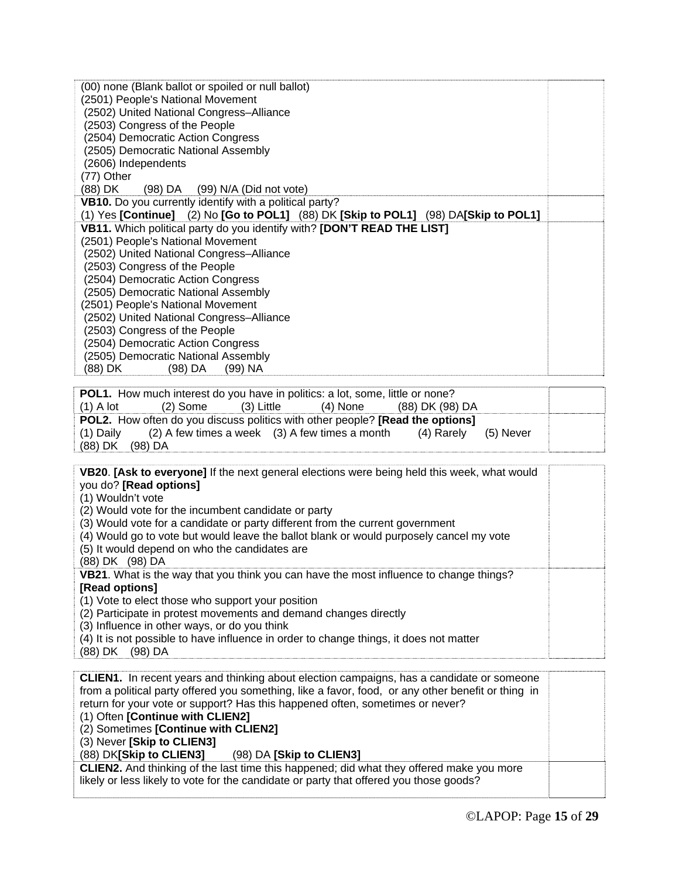| (00) none (Blank ballot or spoiled or null ballot)                                           |  |
|----------------------------------------------------------------------------------------------|--|
| (2501) People's National Movement                                                            |  |
| (2502) United National Congress-Alliance                                                     |  |
| (2503) Congress of the People                                                                |  |
| (2504) Democratic Action Congress                                                            |  |
| (2505) Democratic National Assembly                                                          |  |
| (2606) Independents                                                                          |  |
| (77) Other                                                                                   |  |
| (98) DA (99) N/A (Did not vote)<br>(88) DK                                                   |  |
| VB10. Do you currently identify with a political party?                                      |  |
| (1) Yes $[Continue]$ (2) No $[Go to POL1]$ (88) DK $[Skip to POL1]$ (98) DA $[Skip to POL1]$ |  |
| VB11. Which political party do you identify with? [DON'T READ THE LIST]                      |  |
| (2501) People's National Movement                                                            |  |
| (2502) United National Congress-Alliance                                                     |  |
| (2503) Congress of the People                                                                |  |
| (2504) Democratic Action Congress                                                            |  |
| (2505) Democratic National Assembly                                                          |  |
| (2501) People's National Movement                                                            |  |
| (2502) United National Congress-Alliance                                                     |  |
| (2503) Congress of the People                                                                |  |
| (2504) Democratic Action Congress                                                            |  |
| (2505) Democratic National Assembly                                                          |  |
| (88) DK<br>$(99)$ NA<br>(98) DA                                                              |  |
|                                                                                              |  |
| <b>POL1.</b> How much interest do you have in politics: a lot, some, little or none?         |  |
| $(2)$ Some<br>$(3)$ Little<br>$(4)$ None<br>(88) DK (98) DA<br>$(1)$ A lot                   |  |

|                                                                                             | <b>FULT.</b> TIOW INDUCT INCRESS OF YOU HAVE IN DOINCS. A TOC, SOME, INDEE OF HONE!   |            |          |                 |  |  |  |  |  |  |
|---------------------------------------------------------------------------------------------|---------------------------------------------------------------------------------------|------------|----------|-----------------|--|--|--|--|--|--|
| (1) A lot                                                                                   | (2) Some                                                                              | (3) Little | (4) None | (88) DK (98) DA |  |  |  |  |  |  |
| <b>POL2.</b> How often do you discuss politics with other people? <b>[Read the options]</b> |                                                                                       |            |          |                 |  |  |  |  |  |  |
|                                                                                             | (1) Daily $(2)$ A few times a week $(3)$ A few times a month $(4)$ Rarely $(5)$ Never |            |          |                 |  |  |  |  |  |  |
| (88) DK (98) DA                                                                             |                                                                                       |            |          |                 |  |  |  |  |  |  |
|                                                                                             |                                                                                       |            |          |                 |  |  |  |  |  |  |

**VB20**. **[Ask to everyone]** If the next general elections were being held this week, what would you do? **[Read options]** 

(1) Wouldn't vote

(2) Would vote for the incumbent candidate or party

(3) Would vote for a candidate or party different from the current government

(4) Would go to vote but would leave the ballot blank or would purposely cancel my vote

(5) It would depend on who the candidates are

(88) DK (98) DA

**VB21**. What is the way that you think you can have the most influence to change things? **[Read options]** 

(1) Vote to elect those who support your position

(2) Participate in protest movements and demand changes directly

(3) Influence in other ways, or do you think

(4) It is not possible to have influence in order to change things, it does not matter

(88) DK (98) DA

| <b>CLIEN1.</b> In recent years and thinking about election campaigns, has a candidate or someone                                                                                          |  |  |  |  |  |
|-------------------------------------------------------------------------------------------------------------------------------------------------------------------------------------------|--|--|--|--|--|
| from a political party offered you something, like a favor, food, or any other benefit or thing in                                                                                        |  |  |  |  |  |
| return for your vote or support? Has this happened often, sometimes or never?                                                                                                             |  |  |  |  |  |
| (1) Often [Continue with CLIEN2]                                                                                                                                                          |  |  |  |  |  |
| (2) Sometimes [Continue with CLIEN2]                                                                                                                                                      |  |  |  |  |  |
| (3) Never [Skip to CLIEN3]                                                                                                                                                                |  |  |  |  |  |
| (88) DK[Skip to CLIEN3]<br>$(98)$ DA [Skip to CLIEN3]                                                                                                                                     |  |  |  |  |  |
| <b>CLIEN2.</b> And thinking of the last time this happened; did what they offered make you more<br>likely or less likely to vote for the candidate or party that offered you those goods? |  |  |  |  |  |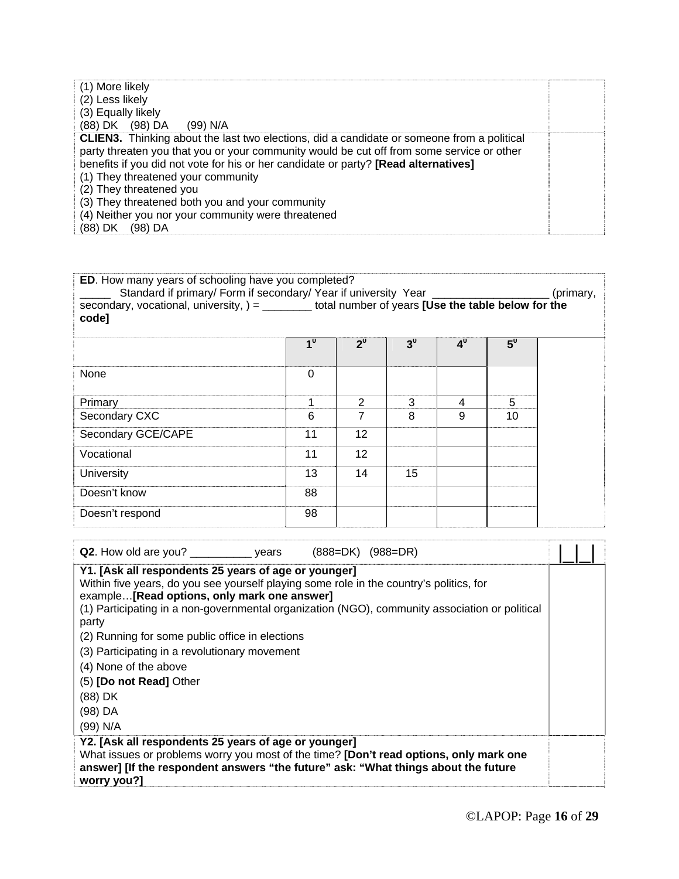| (1) More likely                                                                                                                                                                                |  |  |  |  |  |  |
|------------------------------------------------------------------------------------------------------------------------------------------------------------------------------------------------|--|--|--|--|--|--|
| (2) Less likely                                                                                                                                                                                |  |  |  |  |  |  |
| (3) Equally likely                                                                                                                                                                             |  |  |  |  |  |  |
| (88) DK (98) DA (99) N/A                                                                                                                                                                       |  |  |  |  |  |  |
| <b>CLIEN3.</b> Thinking about the last two elections, did a candidate or someone from a political<br>party threaten you that you or your community would be cut off from some service or other |  |  |  |  |  |  |
| benefits if you did not vote for his or her candidate or party? [Read alternatives]                                                                                                            |  |  |  |  |  |  |
| (1) They threatened your community                                                                                                                                                             |  |  |  |  |  |  |
| (2) They threatened you                                                                                                                                                                        |  |  |  |  |  |  |
| (3) They threatened both you and your community                                                                                                                                                |  |  |  |  |  |  |
| (4) Neither you nor your community were threatened                                                                                                                                             |  |  |  |  |  |  |
| (88) DK<br>(98) DA                                                                                                                                                                             |  |  |  |  |  |  |

| ED. How many years of schooling have you completed?                                                                                                                                                |                |                |                |                |       |           |
|----------------------------------------------------------------------------------------------------------------------------------------------------------------------------------------------------|----------------|----------------|----------------|----------------|-------|-----------|
| Standard if primary/ Form if secondary/ Year if university Year ________________<br>secondary, vocational, university, $) =$ _________ total number of years [Use the table below for the<br>code] |                |                |                |                |       | (primary, |
|                                                                                                                                                                                                    | 1 <sup>0</sup> | $2^0$          | 3 <sup>0</sup> | 4 <sup>0</sup> | $5^0$ |           |
| None                                                                                                                                                                                               | $\Omega$       |                |                |                |       |           |
| Primary                                                                                                                                                                                            |                | 2              | 3              | 4              | 5     |           |
| Secondary CXC                                                                                                                                                                                      | 6              | $\overline{7}$ | 8              | 9              | 10    |           |
| Secondary GCE/CAPE                                                                                                                                                                                 | 11             | 12             |                |                |       |           |
| Vocational                                                                                                                                                                                         | 11             | 12             |                |                |       |           |
| University                                                                                                                                                                                         | 13             | 14             | 15             |                |       |           |
| Doesn't know                                                                                                                                                                                       | 88             |                |                |                |       |           |
| Doesn't respond                                                                                                                                                                                    | 98             |                |                |                |       |           |
|                                                                                                                                                                                                    |                |                |                |                |       |           |

| Q2. How old are you? _______________ years<br>$(888=DK)$ $(988=DR)$                                                                                                                                                                                                                                                                                                                                                                    |  |
|----------------------------------------------------------------------------------------------------------------------------------------------------------------------------------------------------------------------------------------------------------------------------------------------------------------------------------------------------------------------------------------------------------------------------------------|--|
| Y1. [Ask all respondents 25 years of age or younger]<br>Within five years, do you see yourself playing some role in the country's politics, for<br>example[Read options, only mark one answer]<br>(1) Participating in a non-governmental organization (NGO), community association or political<br>party<br>(2) Running for some public office in elections<br>(3) Participating in a revolutionary movement<br>(4) None of the above |  |
| (5) [Do not Read] Other                                                                                                                                                                                                                                                                                                                                                                                                                |  |
| (88) DK                                                                                                                                                                                                                                                                                                                                                                                                                                |  |
| (98) DA                                                                                                                                                                                                                                                                                                                                                                                                                                |  |
| (99) N/A                                                                                                                                                                                                                                                                                                                                                                                                                               |  |
| Y2. [Ask all respondents 25 years of age or younger]<br>What issues or problems worry you most of the time? [Don't read options, only mark one<br>answer] [If the respondent answers "the future" ask: "What things about the future<br>worry you?]                                                                                                                                                                                    |  |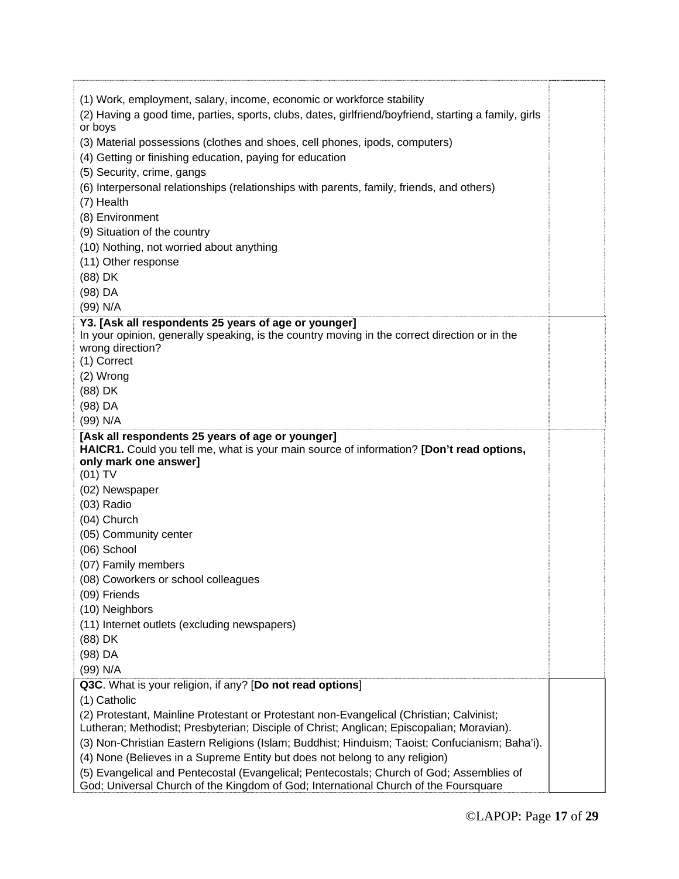| (1) Work, employment, salary, income, economic or workforce stability<br>(2) Having a good time, parties, sports, clubs, dates, girlfriend/boyfriend, starting a family, girls<br>or boys<br>(3) Material possessions (clothes and shoes, cell phones, ipods, computers)<br>(4) Getting or finishing education, paying for education<br>(5) Security, crime, gangs<br>(6) Interpersonal relationships (relationships with parents, family, friends, and others)<br>(7) Health<br>(8) Environment<br>(9) Situation of the country<br>(10) Nothing, not worried about anything<br>(11) Other response<br>(88) DK<br>(98) DA<br>(99) N/A |  |
|---------------------------------------------------------------------------------------------------------------------------------------------------------------------------------------------------------------------------------------------------------------------------------------------------------------------------------------------------------------------------------------------------------------------------------------------------------------------------------------------------------------------------------------------------------------------------------------------------------------------------------------|--|
| Y3. [Ask all respondents 25 years of age or younger]<br>In your opinion, generally speaking, is the country moving in the correct direction or in the                                                                                                                                                                                                                                                                                                                                                                                                                                                                                 |  |
| wrong direction?                                                                                                                                                                                                                                                                                                                                                                                                                                                                                                                                                                                                                      |  |
| (1) Correct                                                                                                                                                                                                                                                                                                                                                                                                                                                                                                                                                                                                                           |  |
| (2) Wrong                                                                                                                                                                                                                                                                                                                                                                                                                                                                                                                                                                                                                             |  |
| (88) DK                                                                                                                                                                                                                                                                                                                                                                                                                                                                                                                                                                                                                               |  |
| (98) DA                                                                                                                                                                                                                                                                                                                                                                                                                                                                                                                                                                                                                               |  |
| (99) N/A                                                                                                                                                                                                                                                                                                                                                                                                                                                                                                                                                                                                                              |  |
| [Ask all respondents 25 years of age or younger]                                                                                                                                                                                                                                                                                                                                                                                                                                                                                                                                                                                      |  |
| HAICR1. Could you tell me, what is your main source of information? [Don't read options,                                                                                                                                                                                                                                                                                                                                                                                                                                                                                                                                              |  |
| only mark one answer]<br>(01) TV                                                                                                                                                                                                                                                                                                                                                                                                                                                                                                                                                                                                      |  |
| (02) Newspaper                                                                                                                                                                                                                                                                                                                                                                                                                                                                                                                                                                                                                        |  |
| $(03)$ Radio                                                                                                                                                                                                                                                                                                                                                                                                                                                                                                                                                                                                                          |  |
| (04) Church                                                                                                                                                                                                                                                                                                                                                                                                                                                                                                                                                                                                                           |  |
| (05) Community center                                                                                                                                                                                                                                                                                                                                                                                                                                                                                                                                                                                                                 |  |
| (06) School                                                                                                                                                                                                                                                                                                                                                                                                                                                                                                                                                                                                                           |  |
| (07) Family members                                                                                                                                                                                                                                                                                                                                                                                                                                                                                                                                                                                                                   |  |
|                                                                                                                                                                                                                                                                                                                                                                                                                                                                                                                                                                                                                                       |  |
| (08) Coworkers or school colleagues<br>(09) Friends                                                                                                                                                                                                                                                                                                                                                                                                                                                                                                                                                                                   |  |
| (10) Neighbors                                                                                                                                                                                                                                                                                                                                                                                                                                                                                                                                                                                                                        |  |
| (11) Internet outlets (excluding newspapers)                                                                                                                                                                                                                                                                                                                                                                                                                                                                                                                                                                                          |  |
| (88) DK                                                                                                                                                                                                                                                                                                                                                                                                                                                                                                                                                                                                                               |  |
| (98) DA                                                                                                                                                                                                                                                                                                                                                                                                                                                                                                                                                                                                                               |  |
| (99) N/A                                                                                                                                                                                                                                                                                                                                                                                                                                                                                                                                                                                                                              |  |
| Q3C. What is your religion, if any? [Do not read options]                                                                                                                                                                                                                                                                                                                                                                                                                                                                                                                                                                             |  |
| (1) Catholic                                                                                                                                                                                                                                                                                                                                                                                                                                                                                                                                                                                                                          |  |
| (2) Protestant, Mainline Protestant or Protestant non-Evangelical (Christian; Calvinist;                                                                                                                                                                                                                                                                                                                                                                                                                                                                                                                                              |  |
| Lutheran; Methodist; Presbyterian; Disciple of Christ; Anglican; Episcopalian; Moravian).                                                                                                                                                                                                                                                                                                                                                                                                                                                                                                                                             |  |
| (3) Non-Christian Eastern Religions (Islam; Buddhist; Hinduism; Taoist; Confucianism; Baha'i).                                                                                                                                                                                                                                                                                                                                                                                                                                                                                                                                        |  |
| (4) None (Believes in a Supreme Entity but does not belong to any religion)                                                                                                                                                                                                                                                                                                                                                                                                                                                                                                                                                           |  |
| (5) Evangelical and Pentecostal (Evangelical; Pentecostals; Church of God; Assemblies of                                                                                                                                                                                                                                                                                                                                                                                                                                                                                                                                              |  |
| God; Universal Church of the Kingdom of God; International Church of the Foursquare                                                                                                                                                                                                                                                                                                                                                                                                                                                                                                                                                   |  |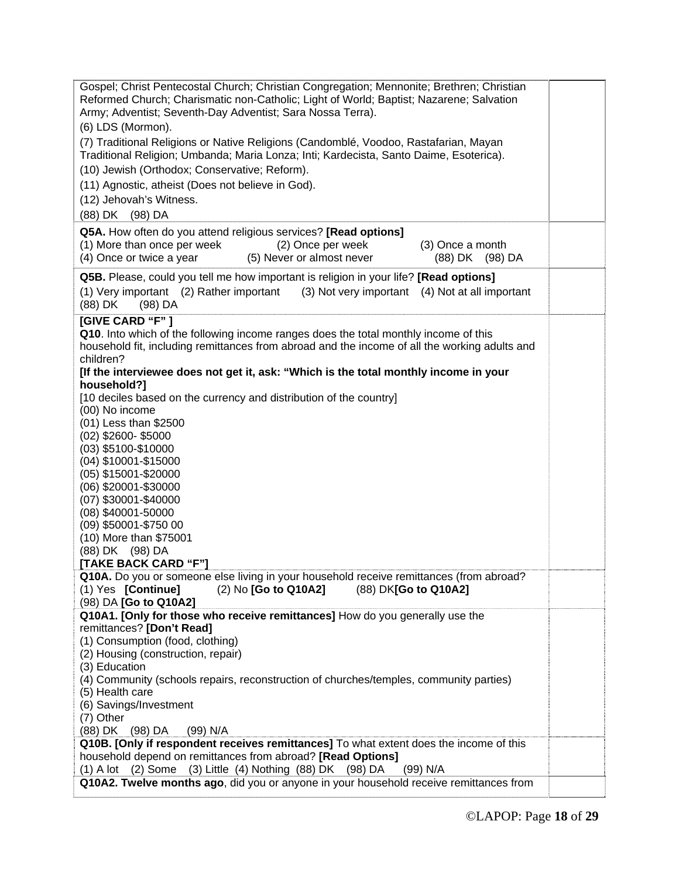| Gospel; Christ Pentecostal Church; Christian Congregation; Mennonite; Brethren; Christian<br>Reformed Church; Charismatic non-Catholic; Light of World; Baptist; Nazarene; Salvation<br>Army; Adventist; Seventh-Day Adventist; Sara Nossa Terra).<br>(6) LDS (Mormon). |  |  |  |  |  |  |
|-------------------------------------------------------------------------------------------------------------------------------------------------------------------------------------------------------------------------------------------------------------------------|--|--|--|--|--|--|
| (7) Traditional Religions or Native Religions (Candomblé, Voodoo, Rastafarian, Mayan<br>Traditional Religion; Umbanda; Maria Lonza; Inti; Kardecista, Santo Daime, Esoterica).                                                                                          |  |  |  |  |  |  |
| (10) Jewish (Orthodox; Conservative; Reform).                                                                                                                                                                                                                           |  |  |  |  |  |  |
| (11) Agnostic, atheist (Does not believe in God).                                                                                                                                                                                                                       |  |  |  |  |  |  |
| (12) Jehovah's Witness.                                                                                                                                                                                                                                                 |  |  |  |  |  |  |
| (88) DK (98) DA                                                                                                                                                                                                                                                         |  |  |  |  |  |  |
| Q5A. How often do you attend religious services? [Read options]                                                                                                                                                                                                         |  |  |  |  |  |  |
| (1) More than once per week<br>(2) Once per week<br>(3) Once a month<br>(4) Once or twice a year<br>(5) Never or almost never<br>(88) DK (98) DA                                                                                                                        |  |  |  |  |  |  |
| Q5B. Please, could you tell me how important is religion in your life? [Read options]<br>(1) Very important (2) Rather important<br>(3) Not very important (4) Not at all important                                                                                     |  |  |  |  |  |  |
| (88) DK<br>$(98)$ DA                                                                                                                                                                                                                                                    |  |  |  |  |  |  |
| [GIVE CARD "F"]                                                                                                                                                                                                                                                         |  |  |  |  |  |  |
| Q10. Into which of the following income ranges does the total monthly income of this<br>household fit, including remittances from abroad and the income of all the working adults and                                                                                   |  |  |  |  |  |  |
| children?<br>[If the interviewee does not get it, ask: "Which is the total monthly income in your                                                                                                                                                                       |  |  |  |  |  |  |
| household?]                                                                                                                                                                                                                                                             |  |  |  |  |  |  |
| [10 deciles based on the currency and distribution of the country]                                                                                                                                                                                                      |  |  |  |  |  |  |
| (00) No income                                                                                                                                                                                                                                                          |  |  |  |  |  |  |
| (01) Less than \$2500                                                                                                                                                                                                                                                   |  |  |  |  |  |  |
| $(02)$ \$2600-\$5000                                                                                                                                                                                                                                                    |  |  |  |  |  |  |
| $(03)$ \$5100-\$10000                                                                                                                                                                                                                                                   |  |  |  |  |  |  |
| (04) \$10001-\$15000<br>(05) \$15001-\$20000                                                                                                                                                                                                                            |  |  |  |  |  |  |
| (06) \$20001-\$30000                                                                                                                                                                                                                                                    |  |  |  |  |  |  |
| $(07)$ \$30001-\$40000                                                                                                                                                                                                                                                  |  |  |  |  |  |  |
| (08) \$40001-50000                                                                                                                                                                                                                                                      |  |  |  |  |  |  |
| (09) \$50001-\$750 00                                                                                                                                                                                                                                                   |  |  |  |  |  |  |
| (10) More than \$75001                                                                                                                                                                                                                                                  |  |  |  |  |  |  |
| (88) DK (98) DA                                                                                                                                                                                                                                                         |  |  |  |  |  |  |
| [TAKE BACK CARD "F"]<br>Q10A. Do you or someone else living in your household receive remittances (from abroad?                                                                                                                                                         |  |  |  |  |  |  |
| (1) Yes [Continue]<br>(88) DK[Go to Q10A2]<br>$(2)$ No $[Go to Q10A2]$                                                                                                                                                                                                  |  |  |  |  |  |  |
| (98) DA [Go to Q10A2]                                                                                                                                                                                                                                                   |  |  |  |  |  |  |
| Q10A1. [Only for those who receive remittances] How do you generally use the                                                                                                                                                                                            |  |  |  |  |  |  |
| remittances? [Don't Read]                                                                                                                                                                                                                                               |  |  |  |  |  |  |
| (1) Consumption (food, clothing)<br>(2) Housing (construction, repair)                                                                                                                                                                                                  |  |  |  |  |  |  |
| (3) Education                                                                                                                                                                                                                                                           |  |  |  |  |  |  |
| (4) Community (schools repairs, reconstruction of churches/temples, community parties)                                                                                                                                                                                  |  |  |  |  |  |  |
| (5) Health care                                                                                                                                                                                                                                                         |  |  |  |  |  |  |
| (6) Savings/Investment                                                                                                                                                                                                                                                  |  |  |  |  |  |  |
| (7) Other                                                                                                                                                                                                                                                               |  |  |  |  |  |  |
| (88) DK (98) DA<br>(99) N/A                                                                                                                                                                                                                                             |  |  |  |  |  |  |
| Q10B. [Only if respondent receives remittances] To what extent does the income of this<br>household depend on remittances from abroad? [Read Options]                                                                                                                   |  |  |  |  |  |  |
| (1) A lot (2) Some (3) Little (4) Nothing (88) DK (98) DA<br>(99) N/A                                                                                                                                                                                                   |  |  |  |  |  |  |
| Q10A2. Twelve months ago, did you or anyone in your household receive remittances from                                                                                                                                                                                  |  |  |  |  |  |  |
|                                                                                                                                                                                                                                                                         |  |  |  |  |  |  |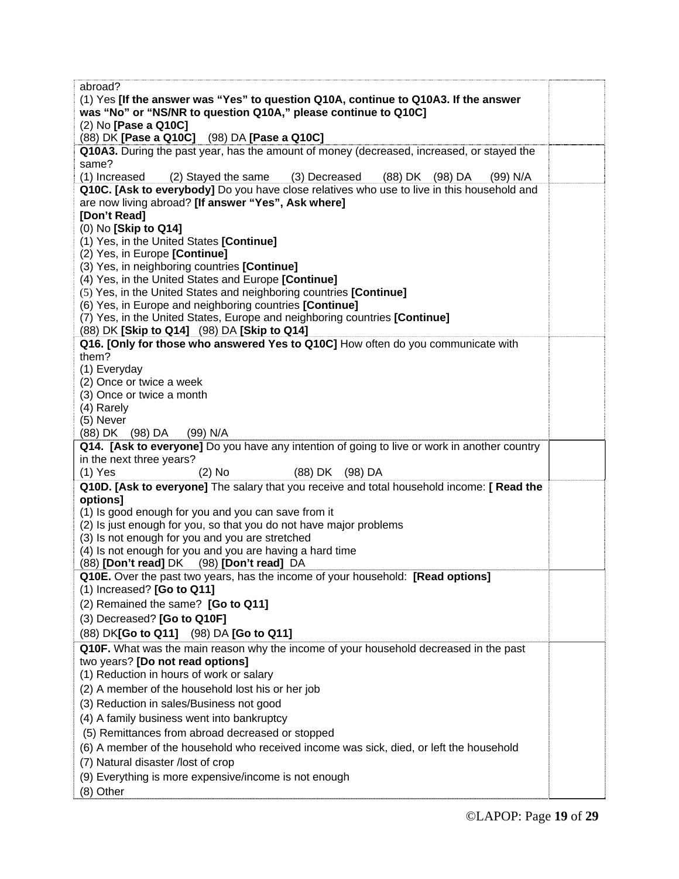| (1) Yes [If the answer was "Yes" to question Q10A, continue to Q10A3. If the answer          |  |  |  |  |  |  |
|----------------------------------------------------------------------------------------------|--|--|--|--|--|--|
| was "No" or "NS/NR to question Q10A," please continue to Q10C]                               |  |  |  |  |  |  |
| (2) No [Pase a Q10C]                                                                         |  |  |  |  |  |  |
| (88) DK [Pase a Q10C] (98) DA [Pase a Q10C]                                                  |  |  |  |  |  |  |
| Q10A3. During the past year, has the amount of money (decreased, increased, or stayed the    |  |  |  |  |  |  |
| same?                                                                                        |  |  |  |  |  |  |
| (3) Decreased (88) DK (98) DA<br>(1) Increased<br>(2) Stayed the same<br>(99) N/A            |  |  |  |  |  |  |
| Q10C. [Ask to everybody] Do you have close relatives who use to live in this household and   |  |  |  |  |  |  |
| are now living abroad? [If answer "Yes", Ask where]                                          |  |  |  |  |  |  |
| [Don't Read]                                                                                 |  |  |  |  |  |  |
| (0) No [Skip to Q14]                                                                         |  |  |  |  |  |  |
| (1) Yes, in the United States [Continue]                                                     |  |  |  |  |  |  |
| (2) Yes, in Europe [Continue]                                                                |  |  |  |  |  |  |
| (3) Yes, in neighboring countries [Continue]                                                 |  |  |  |  |  |  |
| (4) Yes, in the United States and Europe [Continue]                                          |  |  |  |  |  |  |
| (5) Yes, in the United States and neighboring countries [Continue]                           |  |  |  |  |  |  |
| (6) Yes, in Europe and neighboring countries [Continue]                                      |  |  |  |  |  |  |
| (7) Yes, in the United States, Europe and neighboring countries [Continue]                   |  |  |  |  |  |  |
| (88) DK [Skip to Q14] (98) DA [Skip to Q14]                                                  |  |  |  |  |  |  |
| Q16. [Only for those who answered Yes to Q10C] How often do you communicate with             |  |  |  |  |  |  |
| them?                                                                                        |  |  |  |  |  |  |
| (1) Everyday                                                                                 |  |  |  |  |  |  |
| (2) Once or twice a week                                                                     |  |  |  |  |  |  |
| (3) Once or twice a month                                                                    |  |  |  |  |  |  |
| (4) Rarely                                                                                   |  |  |  |  |  |  |
| (5) Never                                                                                    |  |  |  |  |  |  |
| (88) DK (98) DA<br>(99) N/A                                                                  |  |  |  |  |  |  |
| Q14. [Ask to everyone] Do you have any intention of going to live or work in another country |  |  |  |  |  |  |
| in the next three years?                                                                     |  |  |  |  |  |  |
| $(1)$ Yes<br>(88) DK (98) DA<br>$(2)$ No                                                     |  |  |  |  |  |  |
| Q10D. [Ask to everyone] The salary that you receive and total household income: [ Read the   |  |  |  |  |  |  |
| options]                                                                                     |  |  |  |  |  |  |
| (1) Is good enough for you and you can save from it                                          |  |  |  |  |  |  |
| (2) Is just enough for you, so that you do not have major problems                           |  |  |  |  |  |  |
| (3) Is not enough for you and you are stretched                                              |  |  |  |  |  |  |
| (4) Is not enough for you and you are having a hard time                                     |  |  |  |  |  |  |
| (88) [Don't read] DK (98) [Don't read] DA                                                    |  |  |  |  |  |  |
| Q10E. Over the past two years, has the income of your household: [Read options]              |  |  |  |  |  |  |
| $(1)$ Increased? [Go to Q11]                                                                 |  |  |  |  |  |  |
| (2) Remained the same? [Go to Q11]                                                           |  |  |  |  |  |  |
| (3) Decreased? [Go to Q10F]                                                                  |  |  |  |  |  |  |
|                                                                                              |  |  |  |  |  |  |
|                                                                                              |  |  |  |  |  |  |
| (88) DK[Go to Q11] (98) DA [Go to Q11]                                                       |  |  |  |  |  |  |
| Q10F. What was the main reason why the income of your household decreased in the past        |  |  |  |  |  |  |
| two years? [Do not read options]                                                             |  |  |  |  |  |  |
| (1) Reduction in hours of work or salary                                                     |  |  |  |  |  |  |
| (2) A member of the household lost his or her job                                            |  |  |  |  |  |  |
| (3) Reduction in sales/Business not good                                                     |  |  |  |  |  |  |
| (4) A family business went into bankruptcy                                                   |  |  |  |  |  |  |
| (5) Remittances from abroad decreased or stopped                                             |  |  |  |  |  |  |
| (6) A member of the household who received income was sick, died, or left the household      |  |  |  |  |  |  |
| (7) Natural disaster /lost of crop                                                           |  |  |  |  |  |  |
| (9) Everything is more expensive/income is not enough                                        |  |  |  |  |  |  |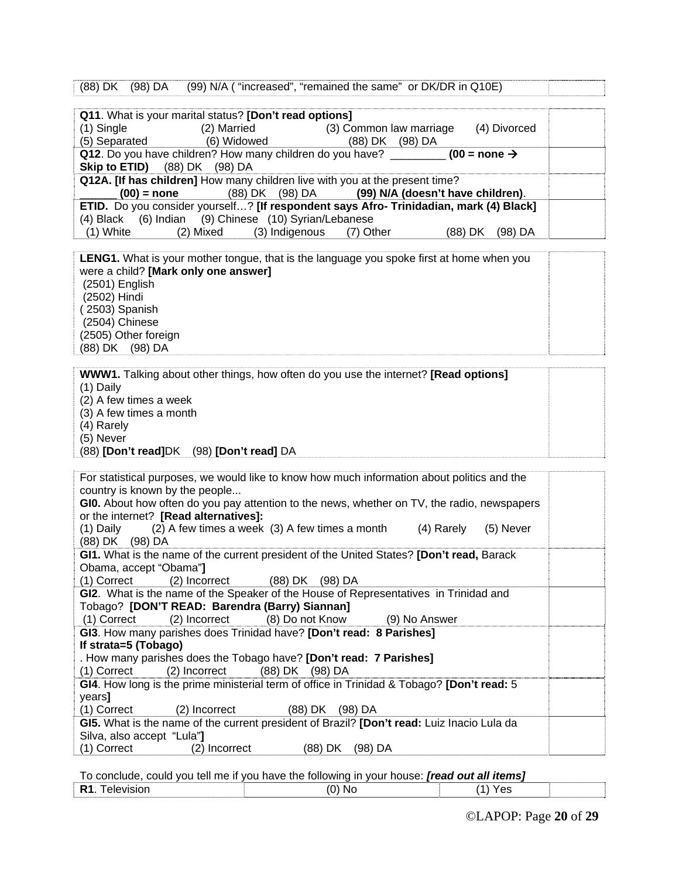|  | (88) DK (98) DA |  |  |  | (99) N/A ( "increased", "remained the same" or DK/DR in Q10E) |  |
|--|-----------------|--|--|--|---------------------------------------------------------------|--|
|  |                 |  |  |  |                                                               |  |

|               | Q11. What is your marital status? [Don't read options] |                                                                                              |                    |
|---------------|--------------------------------------------------------|----------------------------------------------------------------------------------------------|--------------------|
| $(1)$ Single  | (2) Married                                            | (3) Common law marriage                                                                      | (4) Divorced       |
| (5) Separated | (6) Widowed                                            | (98) DA<br>(88) DK                                                                           |                    |
|               |                                                        | Q12. Do you have children? How many children do you have? _________ (00 = none $\rightarrow$ |                    |
|               | <b>Skip to ETID)</b> (88) DK (98) DA                   |                                                                                              |                    |
|               |                                                        | Q12A. [If has children] How many children live with you at the present time?                 |                    |
|               | $(00)$ = none                                          | (88) DK (98) DA (99) N/A (doesn't have children).                                            |                    |
|               |                                                        | ETID. Do you consider yourself? [If respondent says Afro- Trinidadian, mark (4) Black]       |                    |
|               | (4) Black (6) Indian (9) Chinese (10) Syrian/Lebanese  |                                                                                              |                    |
| $(1)$ White   |                                                        | (2) Mixed (3) Indigenous (7) Other                                                           | (98) DA<br>(88) DK |

**LENG1.** What is your mother tongue, that is the language you spoke first at home when you were a child? **[Mark only one answer]** (2501) English (2502) Hindi ( 2503) Spanish (2504) Chinese (2505) Other foreign (88) DK (98) DA

| <b>WWW1.</b> Talking about other things, how often do you use the internet? <b>[Read options]</b> |  |
|---------------------------------------------------------------------------------------------------|--|
| $(1)$ Daily                                                                                       |  |
| (2) A few times a week                                                                            |  |
| (3) A few times a month                                                                           |  |
| (4) Rarely                                                                                        |  |
| (5) Never                                                                                         |  |
| (88) [Don't read]DK (98) [Don't read] DA                                                          |  |

| For statistical purposes, we would like to know how much information about politics and the |  |  |  |  |  |
|---------------------------------------------------------------------------------------------|--|--|--|--|--|
| country is known by the people                                                              |  |  |  |  |  |
| GIO. About how often do you pay attention to the news, whether on TV, the radio, newspapers |  |  |  |  |  |
| or the internet? [Read alternatives]:                                                       |  |  |  |  |  |
| $(1)$ Daily $(2)$ A few times a week $(3)$ A few times a month $(4)$ Rarely<br>(5) Never    |  |  |  |  |  |
| (88) DK (98) DA                                                                             |  |  |  |  |  |
| GI1. What is the name of the current president of the United States? [Don't read, Barack    |  |  |  |  |  |
| Obama, accept "Obama"]                                                                      |  |  |  |  |  |
| (1) Correct<br>(2) Incorrect (88) DK (98) DA                                                |  |  |  |  |  |
| GI2. What is the name of the Speaker of the House of Representatives in Trinidad and        |  |  |  |  |  |
| Tobago? [DON'T READ: Barendra (Barry) Siannan]                                              |  |  |  |  |  |
| (1) Correct (2) Incorrect (8) Do not Know (9) No Answer                                     |  |  |  |  |  |
| GI3. How many parishes does Trinidad have? [Don't read: 8 Parishes]                         |  |  |  |  |  |
| If strata=5 (Tobago)                                                                        |  |  |  |  |  |
| . How many parishes does the Tobago have? [Don't read: 7 Parishes]                          |  |  |  |  |  |
| (2) Incorrect (88) DK (98) DA<br>(1) Correct                                                |  |  |  |  |  |
| GI4. How long is the prime ministerial term of office in Trinidad & Tobago? [Don't read: 5  |  |  |  |  |  |
| years]                                                                                      |  |  |  |  |  |
| (88) DK<br>(1) Correct<br>(2) Incorrect<br>(98) DA                                          |  |  |  |  |  |
| GI5. What is the name of the current president of Brazil? [Don't read: Luiz Inacio Lula da  |  |  |  |  |  |
| Silva, also accept "Lula"]                                                                  |  |  |  |  |  |
| (1) Correct<br>(2) Incorrect<br>(88) DK<br>(98) DA                                          |  |  |  |  |  |

To conclude, could you tell me if you have the following in your house: *[read out all items]* **R1.** Television (0) No (1) Yes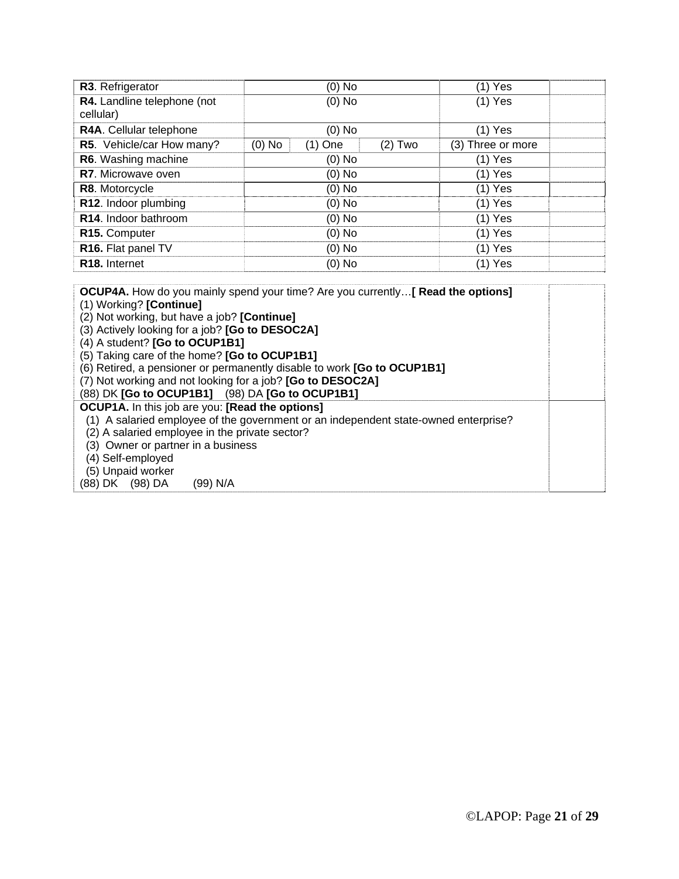| R3. Refrigerator                         | $(0)$ No                           | (1) Yes           |
|------------------------------------------|------------------------------------|-------------------|
| R4. Landline telephone (not<br>cellular) | $(0)$ No                           | $(1)$ Yes         |
| R4A. Cellular telephone                  | $(0)$ No                           | $(1)$ Yes         |
| R5. Vehicle/car How many?                | $(0)$ No<br>$(2)$ Two<br>$(1)$ One | (3) Three or more |
| R6. Washing machine                      | $(0)$ No                           | $(1)$ Yes         |
| <b>R7.</b> Microwave oven                | $(0)$ No                           | $(1)$ Yes         |
| R8. Motorcycle                           | $(0)$ No                           | $(1)$ Yes         |
| R12. Indoor plumbing                     | $(0)$ No                           | $(1)$ Yes         |
| R14. Indoor bathroom                     | $(0)$ No                           | $(1)$ Yes         |
| R15. Computer                            | $(0)$ No                           | $(1)$ Yes         |
| R16. Flat panel TV                       | $(0)$ No                           | $(1)$ Yes         |
| R <sub>18</sub> . Internet               | $(0)$ No                           | $(1)$ Yes         |

| <b>OCUP4A.</b> How do you mainly spend your time? Are you currently [ Read the options] |  |
|-----------------------------------------------------------------------------------------|--|
| (1) Working? [Continue]                                                                 |  |
| (2) Not working, but have a job? [Continue]                                             |  |
| (3) Actively looking for a job? [Go to DESOC2A]                                         |  |
| (4) A student? [Go to OCUP1B1]                                                          |  |
| (5) Taking care of the home? [Go to OCUP1B1]                                            |  |
| (6) Retired, a pensioner or permanently disable to work [Go to OCUP1B1]                 |  |
| (7) Not working and not looking for a job? [Go to DESOC2A]                              |  |
| (88) DK [Go to OCUP1B1] (98) DA [Go to OCUP1B1]                                         |  |
| <b>OCUP1A.</b> In this job are you: [Read the options]                                  |  |
| (1) A salaried employee of the government or an independent state-owned enterprise?     |  |
| (2) A salaried employee in the private sector?                                          |  |
| (3) Owner or partner in a business                                                      |  |
| (4) Self-employed                                                                       |  |
| (5) Unpaid worker                                                                       |  |
| (88) DK (98) DA<br>(99) N/A                                                             |  |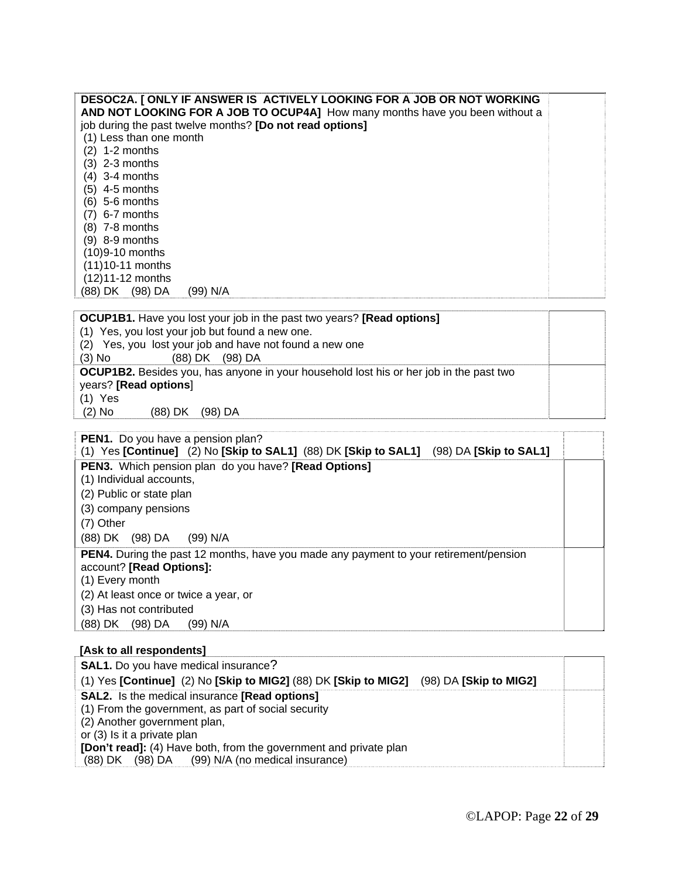| DESOC2A. [ ONLY IF ANSWER IS ACTIVELY LOOKING FOR A JOB OR NOT WORKING       |  |
|------------------------------------------------------------------------------|--|
| AND NOT LOOKING FOR A JOB TO OCUP4A] How many months have you been without a |  |
| job during the past twelve months? [Do not read options]                     |  |
| (1) Less than one month                                                      |  |
| $(2)$ 1-2 months                                                             |  |
| (3) 2-3 months                                                               |  |
| $(4)$ 3-4 months                                                             |  |
| $(5)$ 4-5 months                                                             |  |
| (6) 5-6 months                                                               |  |
| 6-7 months<br>(7)                                                            |  |
| (8) 7-8 months                                                               |  |
| (9) 8-9 months                                                               |  |
| (10)9-10 months                                                              |  |
| (11)10-11 months                                                             |  |
| (12)11-12 months                                                             |  |
| (98) DA<br>(99) N/A<br>(88) DK                                               |  |
|                                                                              |  |

| <b>OCUP1B1.</b> Have you lost your job in the past two years? <b>[Read options]</b>           |  |
|-----------------------------------------------------------------------------------------------|--|
| (1) Yes, you lost your job but found a new one.                                               |  |
| (2) Yes, you lost your job and have not found a new one                                       |  |
| $(3)$ No<br>(88) DK (98) DA                                                                   |  |
| <b>OCUP1B2.</b> Besides you, has anyone in your household lost his or her job in the past two |  |
| years? [Read options]                                                                         |  |
| (1) Yes                                                                                       |  |
| $(2)$ No<br>(88) DK<br>(98) DA                                                                |  |

| <b>PEN1.</b> Do you have a pension plan?                                                                                                    |  |
|---------------------------------------------------------------------------------------------------------------------------------------------|--|
| (1) Yes [Continue] (2) No [Skip to SAL1] (88) DK [Skip to SAL1] (98) DA [Skip to SAL1]                                                      |  |
| <b>PEN3.</b> Which pension plan do you have? [Read Options]                                                                                 |  |
| (1) Individual accounts,                                                                                                                    |  |
| (2) Public or state plan                                                                                                                    |  |
| (3) company pensions                                                                                                                        |  |
| (7) Other                                                                                                                                   |  |
| (88) DK (98) DA<br>(99) N/A                                                                                                                 |  |
| <b>PEN4.</b> During the past 12 months, have you made any payment to your retirement/pension<br>account? [Read Options]:<br>(1) Every month |  |
| (2) At least once or twice a year, or                                                                                                       |  |
| (3) Has not contributed                                                                                                                     |  |
| (98) DA<br>(99) N/A<br>(88) DK                                                                                                              |  |

## **[Ask to all respondents]**

| <b>SAL1.</b> Do you have medical insurance?                                                 |  |
|---------------------------------------------------------------------------------------------|--|
| (1) Yes [Continue] (2) No [Skip to MIG2] (88) DK [Skip to MIG2]<br>$(98)$ DA [Skip to MIG2] |  |
| <b>SAL2.</b> Is the medical insurance [Read options]                                        |  |
| (1) From the government, as part of social security                                         |  |
| (2) Another government plan,                                                                |  |
| or (3) Is it a private plan                                                                 |  |
| <b>[Don't read]:</b> (4) Have both, from the government and private plan                    |  |
| (88) DK (98) DA (99) N/A (no medical insurance)                                             |  |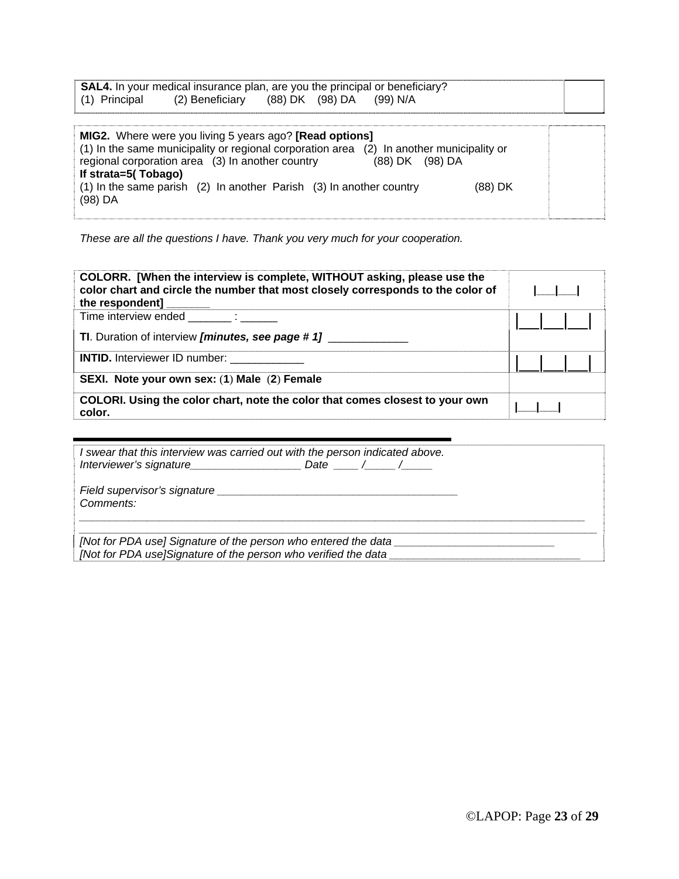|               | <b>SAL4.</b> In your medical insurance plan, are you the principal or beneficiary? |  |  |
|---------------|------------------------------------------------------------------------------------|--|--|
| (1) Principal | (2) Beneficiary (88) DK (98) DA (99) N/A                                           |  |  |

| <b>MIG2.</b> Where were you living 5 years ago? <b>[Read options]</b><br>(1) In the same municipality or regional corporation area (2) In another municipality or<br>regional corporation area (3) In another country<br>(88) DK (98) DA |  |
|------------------------------------------------------------------------------------------------------------------------------------------------------------------------------------------------------------------------------------------|--|
| If strata=5(Tobago)<br>$(1)$ In the same parish $(2)$ In another Parish $(3)$ In another country<br>(88) DK<br>$(98)$ DA                                                                                                                 |  |

*These are all the questions I have. Thank you very much for your cooperation.* 

| COLORR. [When the interview is complete, WITHOUT asking, please use the<br>color chart and circle the number that most closely corresponds to the color of<br>the respondent] |  |
|-------------------------------------------------------------------------------------------------------------------------------------------------------------------------------|--|
| Time interview ended :<br><b>TI.</b> Duration of interview [minutes, see page # 1]                                                                                            |  |
| <b>INTID.</b> Interviewer ID number: ___________<br>SEXI. Note your own sex: (1) Male (2) Female                                                                              |  |
| COLORI. Using the color chart, note the color that comes closest to your own<br>color.                                                                                        |  |

| I swear that this interview was carried out with the person indicated above. |
|------------------------------------------------------------------------------|
| Comments:                                                                    |
|                                                                              |
| [Not for PDA use] Signature of the person who entered the data               |
| [Not for PDA use]Signature of the person who verified the data               |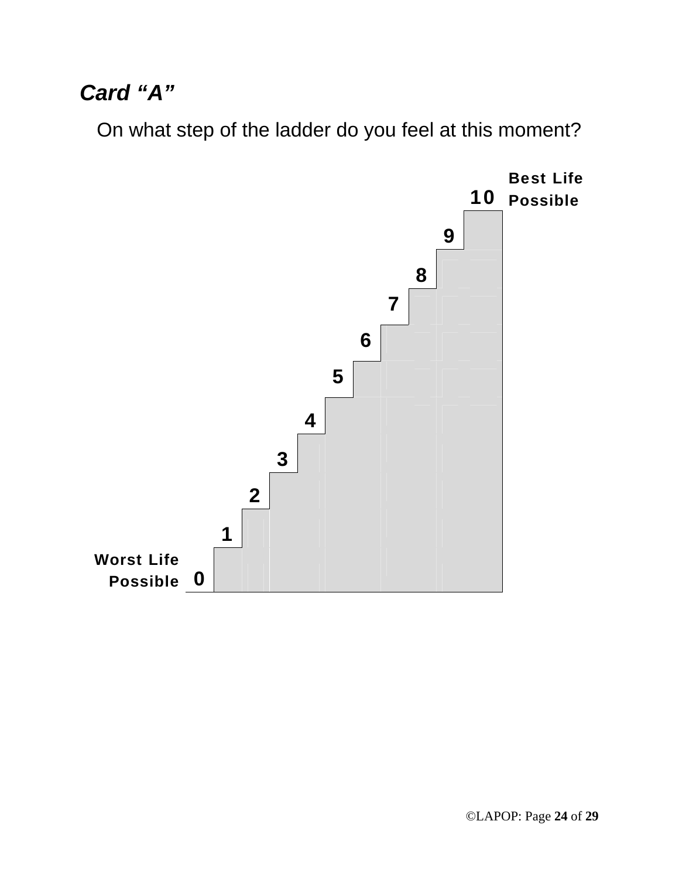# *Card "A"*

On what step of the ladder do you feel at this moment?

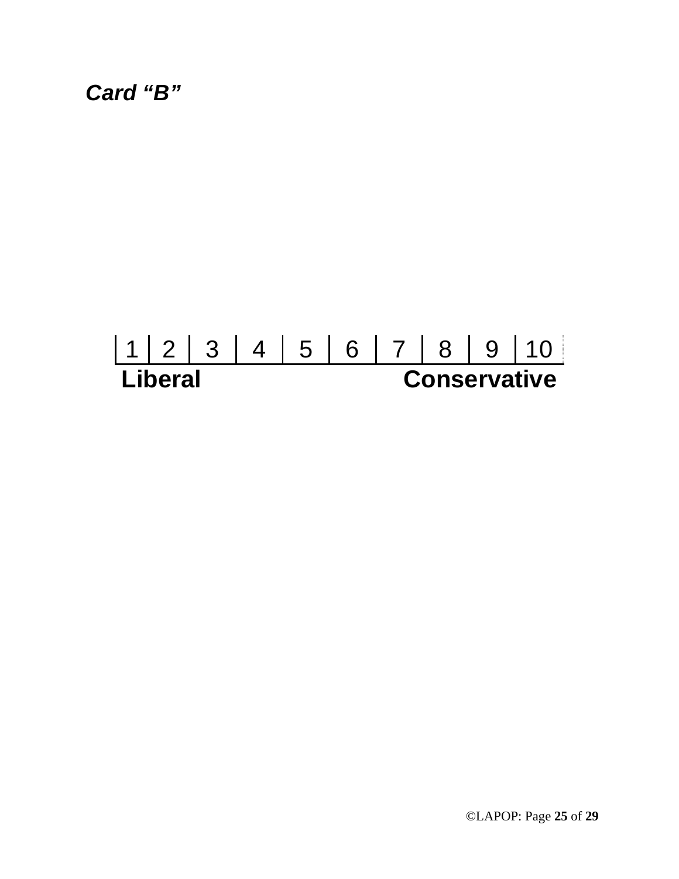*Card "B"* 

# 1 2 3 4 5 6 7 8 9 10 **Liberal Conservative**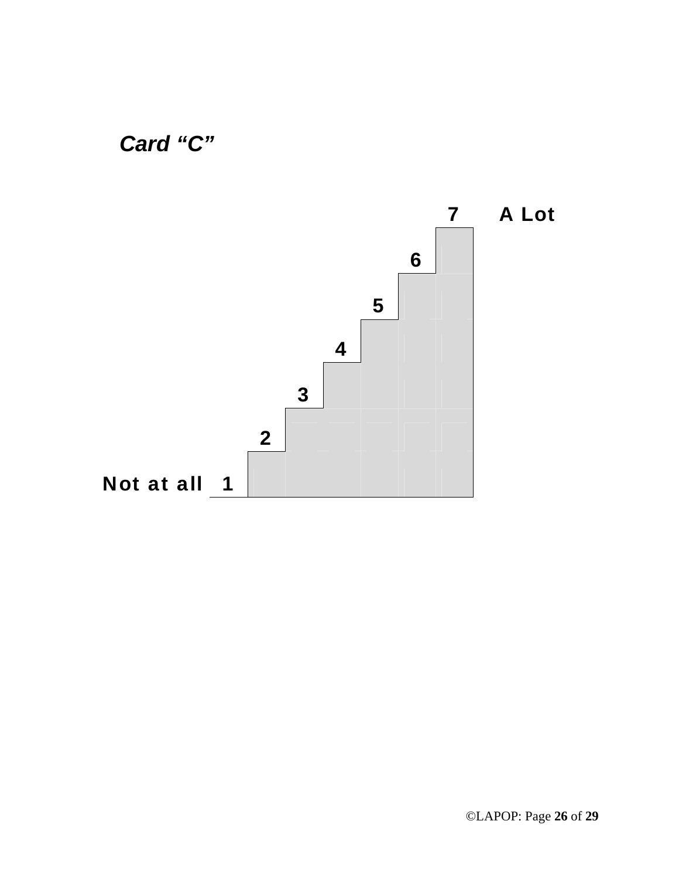

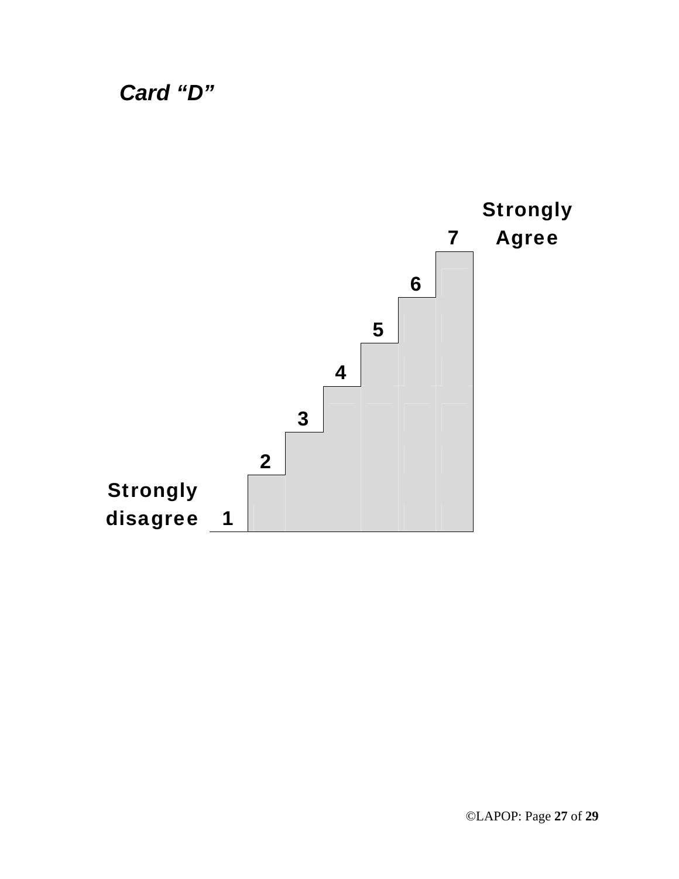*Card "D"* 

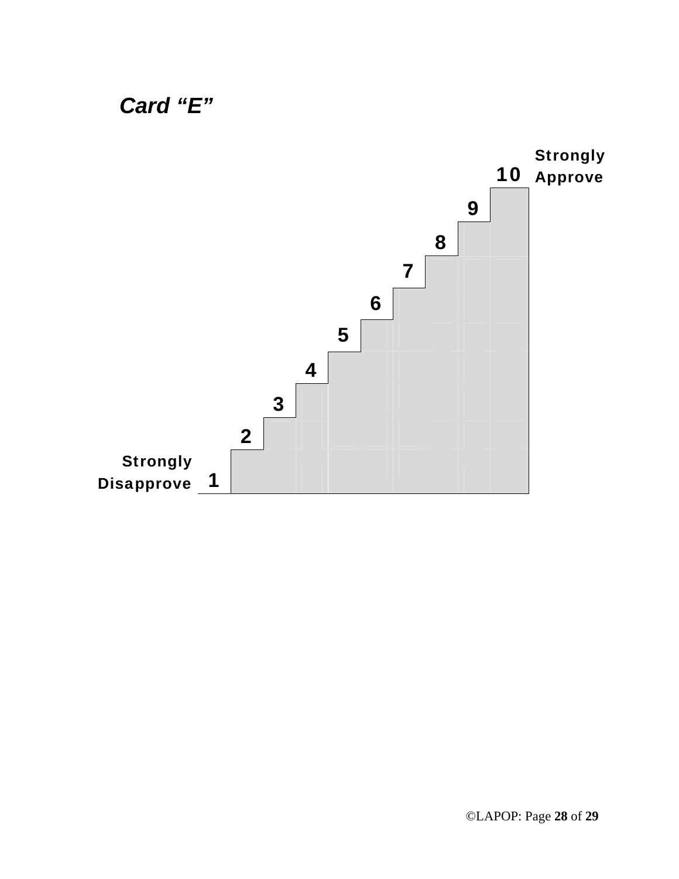

## ©LAPOP: Page **28** of **29**